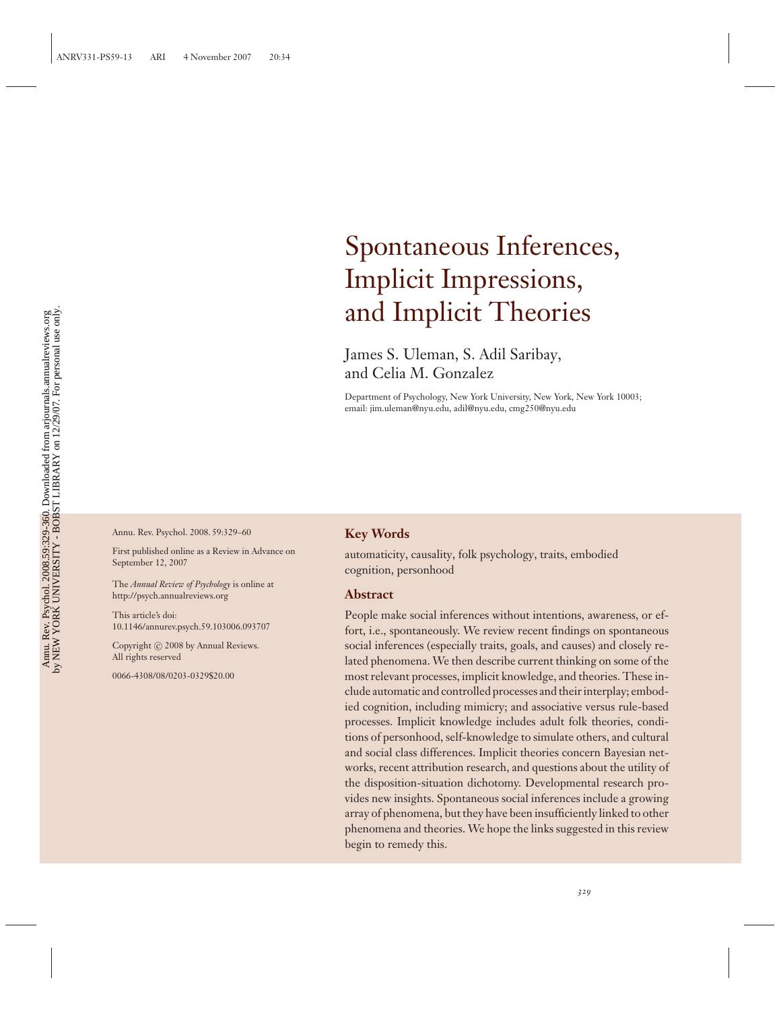# Spontaneous Inferences, Implicit Impressions, and Implicit Theories

James S. Uleman, S. Adil Saribay, and Celia M. Gonzalez

Department of Psychology, New York University, New York, New York 10003; email: jim.uleman@nyu.edu, adil@nyu.edu, cmg250@nyu.edu

Annu. Rev. Psychol. 2008. 59:329–60

First published online as a Review in Advance on September 12, 2007

The *Annual Review of Psychology* is online at http://psych.annualreviews.org

This article's doi: 10.1146/annurev.psych.59.103006.093707

Copyright © 2008 by Annual Reviews. All rights reserved

0066-4308/08/0203-0329\$20.00

## **Key Words**

automaticity, causality, folk psychology, traits, embodied cognition, personhood

#### **Abstract**

People make social inferences without intentions, awareness, or effort, i.e., spontaneously. We review recent findings on spontaneous social inferences (especially traits, goals, and causes) and closely related phenomena. We then describe current thinking on some of the most relevant processes, implicit knowledge, and theories. These include automatic and controlled processes and their interplay; embodied cognition, including mimicry; and associative versus rule-based processes. Implicit knowledge includes adult folk theories, conditions of personhood, self-knowledge to simulate others, and cultural and social class differences. Implicit theories concern Bayesian networks, recent attribution research, and questions about the utility of the disposition-situation dichotomy. Developmental research provides new insights. Spontaneous social inferences include a growing array of phenomena, but they have been insufficiently linked to other phenomena and theories. We hope the links suggested in this review begin to remedy this.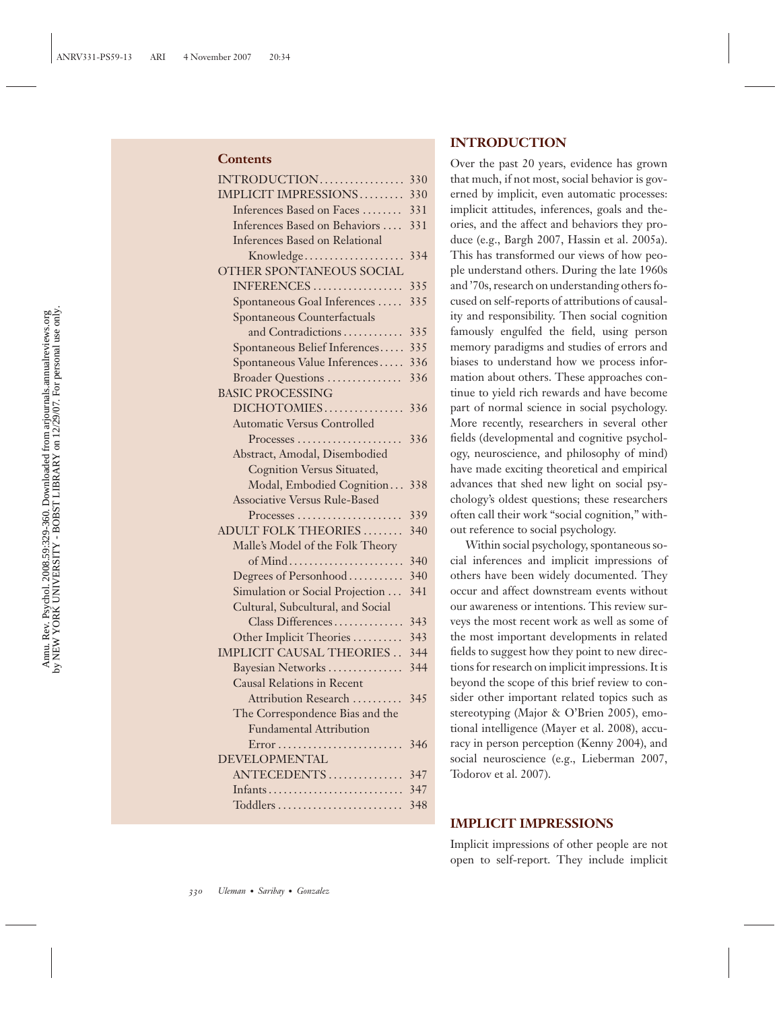#### **Contents**

| INTRODUCTION                          | 330 |
|---------------------------------------|-----|
| IMPLICIT IMPRESSIONS                  | 330 |
| Inferences Based on Faces             | 331 |
| Inferences Based on Behaviors         | 331 |
| <b>Inferences Based on Relational</b> |     |
| Knowledge                             | 334 |
| OTHER SPONTANEOUS SOCIAL              |     |
| INFERENCES                            | 335 |
| Spontaneous Goal Inferences           | 335 |
| Spontaneous Counterfactuals           |     |
| and Contradictions                    | 335 |
| Spontaneous Belief Inferences         | 335 |
| Spontaneous Value Inferences          | 336 |
| Broader Questions                     | 336 |
| <b>BASIC PROCESSING</b>               |     |
| DICHOTOMIES                           | 336 |
| <b>Automatic Versus Controlled</b>    |     |
| Processes                             | 336 |
| Abstract, Amodal, Disembodied         |     |
| Cognition Versus Situated,            |     |
| Modal, Embodied Cognition             | 338 |
| <b>Associative Versus Rule-Based</b>  |     |
| Processes                             | 339 |
| <b>ADULT FOLK THEORIES</b>            | 340 |
| Malle's Model of the Folk Theory      |     |
| of Mind                               | 340 |
| Degrees of Personhood                 | 340 |
| Simulation or Social Projection       | 341 |
| Cultural, Subcultural, and Social     |     |
| Class Differences                     | 343 |
| Other Implicit Theories               | 343 |
| <b>IMPLICIT CAUSAL THEORIES</b>       | 344 |
| Bayesian Networks                     | 344 |
| <b>Causal Relations in Recent</b>     |     |
| Attribution Research                  | 345 |
| The Correspondence Bias and the       |     |
| <b>Fundamental Attribution</b>        |     |
|                                       | 346 |
| <b>DEVELOPMENTAL</b>                  |     |
| ANTECEDENTS                           | 347 |
| Infants                               | 347 |
| Toddlers                              | 348 |

## **INTRODUCTION**

Over the past 20 years, evidence has grown that much, if not most, social behavior is governed by implicit, even automatic processes: implicit attitudes, inferences, goals and theories, and the affect and behaviors they produce (e.g., Bargh 2007, Hassin et al. 2005a). This has transformed our views of how people understand others. During the late 1960s and '70s, research on understanding others focused on self-reports of attributions of causality and responsibility. Then social cognition famously engulfed the field, using person memory paradigms and studies of errors and biases to understand how we process information about others. These approaches continue to yield rich rewards and have become part of normal science in social psychology. More recently, researchers in several other fields (developmental and cognitive psychology, neuroscience, and philosophy of mind) have made exciting theoretical and empirical advances that shed new light on social psychology's oldest questions; these researchers often call their work "social cognition," without reference to social psychology.

Within social psychology, spontaneous social inferences and implicit impressions of others have been widely documented. They occur and affect downstream events without our awareness or intentions. This review surveys the most recent work as well as some of the most important developments in related fields to suggest how they point to new directions for research on implicit impressions. It is beyond the scope of this brief review to consider other important related topics such as stereotyping (Major & O'Brien 2005), emotional intelligence (Mayer et al. 2008), accuracy in person perception (Kenny 2004), and social neuroscience (e.g., Lieberman 2007, Todorov et al. 2007).

# **IMPLICIT IMPRESSIONS**

Implicit impressions of other people are not open to self-report. They include implicit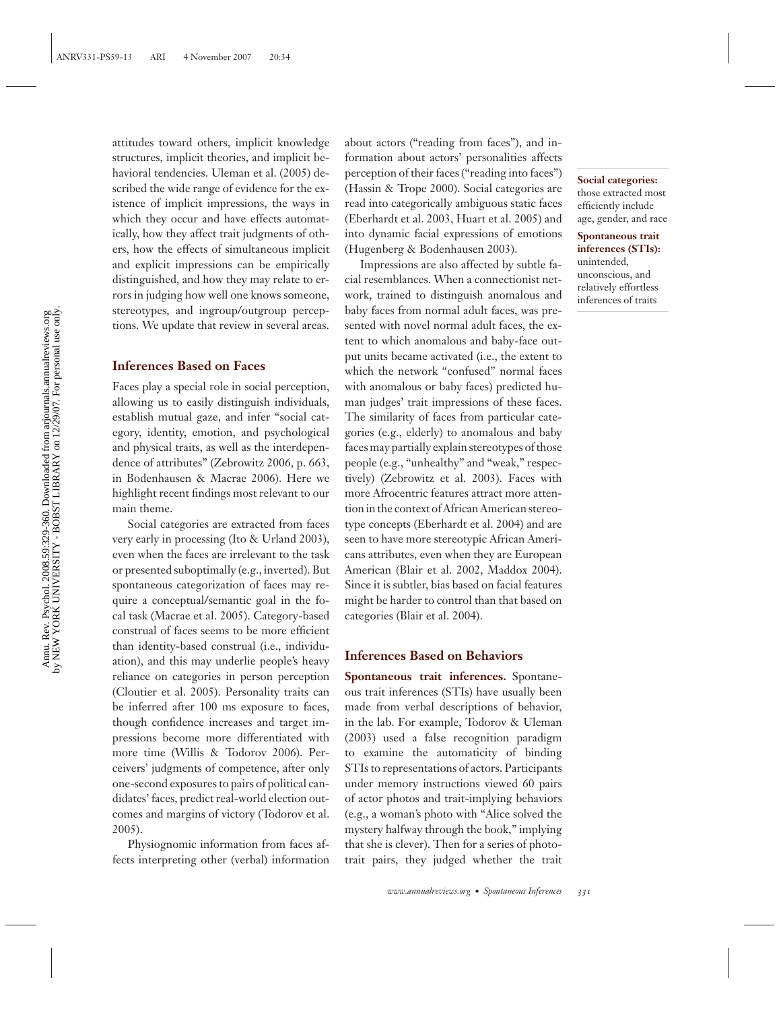attitudes toward others, implicit knowledge structures, implicit theories, and implicit behavioral tendencies. Uleman et al. (2005) described the wide range of evidence for the existence of implicit impressions, the ways in which they occur and have effects automatically, how they affect trait judgments of others, how the effects of simultaneous implicit and explicit impressions can be empirically distinguished, and how they may relate to errors in judging how well one knows someone, stereotypes, and ingroup/outgroup perceptions. We update that review in several areas.

## **Inferences Based on Faces**

Faces play a special role in social perception, allowing us to easily distinguish individuals, establish mutual gaze, and infer "social category, identity, emotion, and psychological and physical traits, as well as the interdependence of attributes" (Zebrowitz 2006, p. 663, in Bodenhausen & Macrae 2006). Here we highlight recent findings most relevant to our main theme.

Social categories are extracted from faces very early in processing (Ito & Urland 2003), even when the faces are irrelevant to the task or presented suboptimally (e.g., inverted). But spontaneous categorization of faces may require a conceptual/semantic goal in the focal task (Macrae et al. 2005). Category-based construal of faces seems to be more efficient than identity-based construal (i.e., individuation), and this may underlie people's heavy reliance on categories in person perception (Cloutier et al. 2005). Personality traits can be inferred after 100 ms exposure to faces, though confidence increases and target impressions become more differentiated with more time (Willis & Todorov 2006). Perceivers' judgments of competence, after only one-second exposures to pairs of political candidates' faces, predict real-world election outcomes and margins of victory (Todorov et al. 2005).

Physiognomic information from faces affects interpreting other (verbal) information about actors ("reading from faces"), and information about actors' personalities affects perception of their faces ("reading into faces") (Hassin & Trope 2000). Social categories are read into categorically ambiguous static faces (Eberhardt et al. 2003, Huart et al. 2005) and into dynamic facial expressions of emotions (Hugenberg & Bodenhausen 2003).

Impressions are also affected by subtle facial resemblances. When a connectionist network, trained to distinguish anomalous and baby faces from normal adult faces, was presented with novel normal adult faces, the extent to which anomalous and baby-face output units became activated (i.e., the extent to which the network "confused" normal faces with anomalous or baby faces) predicted human judges' trait impressions of these faces. The similarity of faces from particular categories (e.g., elderly) to anomalous and baby faces may partially explain stereotypes of those people (e.g., "unhealthy" and "weak," respectively) (Zebrowitz et al. 2003). Faces with more Afrocentric features attract more attention in the context of African American stereotype concepts (Eberhardt et al. 2004) and are seen to have more stereotypic African Americans attributes, even when they are European American (Blair et al. 2002, Maddox 2004). Since it is subtler, bias based on facial features might be harder to control than that based on categories (Blair et al. 2004).

## **Inferences Based on Behaviors**

**Spontaneous trait inferences.** Spontaneous trait inferences (STIs) have usually been made from verbal descriptions of behavior, in the lab. For example, Todorov & Uleman (2003) used a false recognition paradigm to examine the automaticity of binding STIs to representations of actors. Participants under memory instructions viewed 60 pairs of actor photos and trait-implying behaviors (e.g., a woman's photo with "Alice solved the mystery halfway through the book," implying that she is clever). Then for a series of phototrait pairs, they judged whether the trait

#### **Social categories:**

those extracted most efficiently include age, gender, and race

#### **Spontaneous trait inferences (STIs):**

unintended, unconscious, and relatively effortless inferences of traits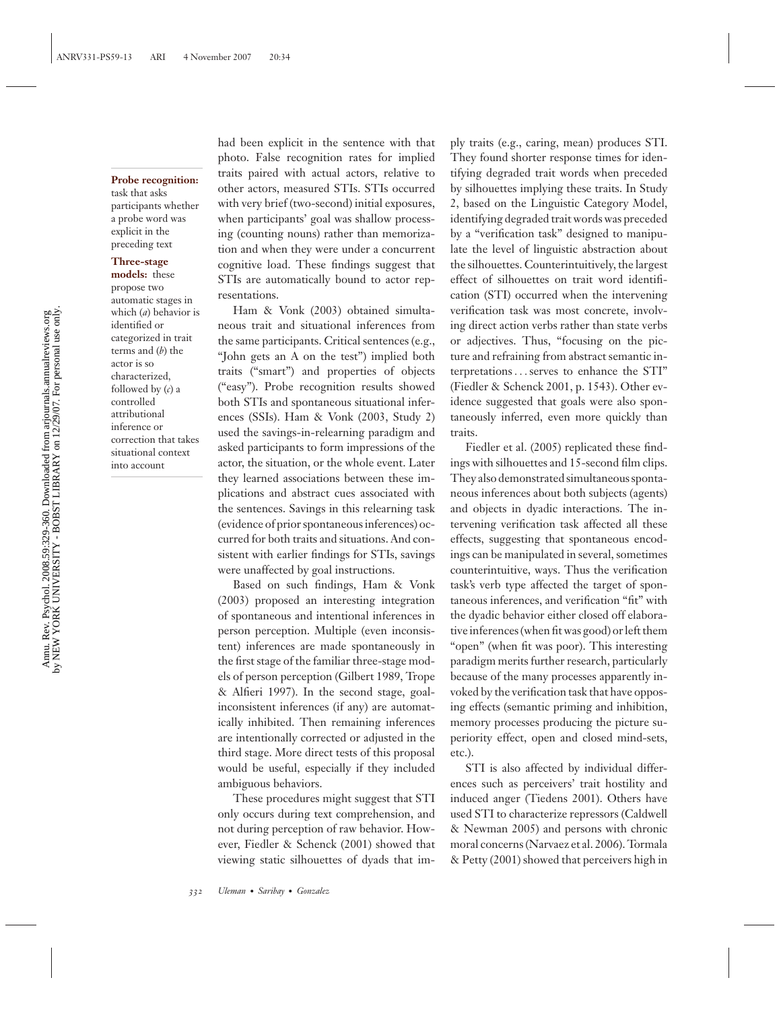#### **Probe recognition:**

task that asks participants whether a probe word was explicit in the preceding text

#### **Three-stage**

**models:** these propose two automatic stages in which (*a*) behavior is identified or categorized in trait terms and (*b*) the actor is so characterized, followed by (*c*) a controlled attributional inference or correction that takes situational context into account

had been explicit in the sentence with that photo. False recognition rates for implied traits paired with actual actors, relative to other actors, measured STIs. STIs occurred with very brief (two-second) initial exposures, when participants' goal was shallow processing (counting nouns) rather than memorization and when they were under a concurrent cognitive load. These findings suggest that STIs are automatically bound to actor representations.

Ham & Vonk (2003) obtained simultaneous trait and situational inferences from the same participants. Critical sentences (e.g., "John gets an A on the test") implied both traits ("smart") and properties of objects ("easy"). Probe recognition results showed both STIs and spontaneous situational inferences (SSIs). Ham & Vonk (2003, Study 2) used the savings-in-relearning paradigm and asked participants to form impressions of the actor, the situation, or the whole event. Later they learned associations between these implications and abstract cues associated with the sentences. Savings in this relearning task (evidence of prior spontaneous inferences) occurred for both traits and situations. And consistent with earlier findings for STIs, savings were unaffected by goal instructions.

Based on such findings, Ham & Vonk (2003) proposed an interesting integration of spontaneous and intentional inferences in person perception. Multiple (even inconsistent) inferences are made spontaneously in the first stage of the familiar three-stage models of person perception (Gilbert 1989, Trope & Alfieri 1997). In the second stage, goalinconsistent inferences (if any) are automatically inhibited. Then remaining inferences are intentionally corrected or adjusted in the third stage. More direct tests of this proposal would be useful, especially if they included ambiguous behaviors.

These procedures might suggest that STI only occurs during text comprehension, and not during perception of raw behavior. However, Fiedler & Schenck (2001) showed that viewing static silhouettes of dyads that imply traits (e.g., caring, mean) produces STI. They found shorter response times for identifying degraded trait words when preceded by silhouettes implying these traits. In Study 2, based on the Linguistic Category Model, identifying degraded trait words was preceded by a "verification task" designed to manipulate the level of linguistic abstraction about the silhouettes. Counterintuitively, the largest effect of silhouettes on trait word identification (STI) occurred when the intervening verification task was most concrete, involving direct action verbs rather than state verbs or adjectives. Thus, "focusing on the picture and refraining from abstract semantic interpretations...serves to enhance the STI" (Fiedler & Schenck 2001, p. 1543). Other evidence suggested that goals were also spontaneously inferred, even more quickly than traits.

Fiedler et al. (2005) replicated these findings with silhouettes and 15-second film clips. They also demonstrated simultaneous spontaneous inferences about both subjects (agents) and objects in dyadic interactions. The intervening verification task affected all these effects, suggesting that spontaneous encodings can be manipulated in several, sometimes counterintuitive, ways. Thus the verification task's verb type affected the target of spontaneous inferences, and verification "fit" with the dyadic behavior either closed off elaborative inferences (when fit was good) or left them "open" (when fit was poor). This interesting paradigm merits further research, particularly because of the many processes apparently invoked by the verification task that have opposing effects (semantic priming and inhibition, memory processes producing the picture superiority effect, open and closed mind-sets, etc.).

STI is also affected by individual differences such as perceivers' trait hostility and induced anger (Tiedens 2001). Others have used STI to characterize repressors (Caldwell & Newman 2005) and persons with chronic moral concerns (Narvaez et al. 2006). Tormala & Petty (2001) showed that perceivers high in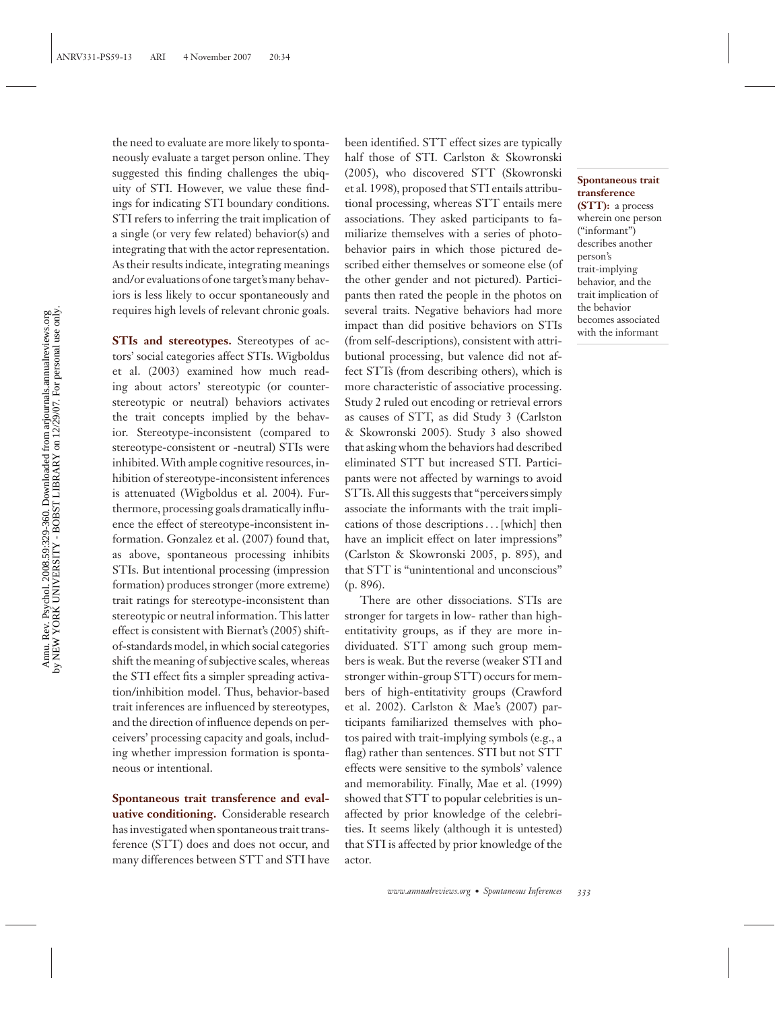the need to evaluate are more likely to spontaneously evaluate a target person online. They suggested this finding challenges the ubiquity of STI. However, we value these findings for indicating STI boundary conditions. STI refers to inferring the trait implication of a single (or very few related) behavior(s) and integrating that with the actor representation. As their results indicate, integrating meanings and/or evaluations of one target's many behaviors is less likely to occur spontaneously and requires high levels of relevant chronic goals.

**STIs and stereotypes.** Stereotypes of actors' social categories affect STIs. Wigboldus et al. (2003) examined how much reading about actors' stereotypic (or counterstereotypic or neutral) behaviors activates the trait concepts implied by the behavior. Stereotype-inconsistent (compared to stereotype-consistent or -neutral) STIs were inhibited. With ample cognitive resources, inhibition of stereotype-inconsistent inferences is attenuated (Wigboldus et al. 2004). Furthermore, processing goals dramatically influence the effect of stereotype-inconsistent information. Gonzalez et al. (2007) found that, as above, spontaneous processing inhibits STIs. But intentional processing (impression formation) produces stronger (more extreme) trait ratings for stereotype-inconsistent than stereotypic or neutral information. This latter effect is consistent with Biernat's (2005) shiftof-standards model, in which social categories shift the meaning of subjective scales, whereas the STI effect fits a simpler spreading activation/inhibition model. Thus, behavior-based trait inferences are influenced by stereotypes, and the direction of influence depends on perceivers' processing capacity and goals, including whether impression formation is spontaneous or intentional.

**Spontaneous trait transference and evaluative conditioning.** Considerable research has investigated when spontaneous trait transference (STT) does and does not occur, and many differences between STT and STI have

been identified. STT effect sizes are typically half those of STI. Carlston & Skowronski (2005), who discovered STT (Skowronski et al. 1998), proposed that STI entails attributional processing, whereas STT entails mere associations. They asked participants to familiarize themselves with a series of photobehavior pairs in which those pictured described either themselves or someone else (of the other gender and not pictured). Participants then rated the people in the photos on several traits. Negative behaviors had more impact than did positive behaviors on STIs (from self-descriptions), consistent with attributional processing, but valence did not affect STTs (from describing others), which is more characteristic of associative processing. Study 2 ruled out encoding or retrieval errors as causes of STT, as did Study 3 (Carlston & Skowronski 2005). Study 3 also showed that asking whom the behaviors had described eliminated STT but increased STI. Participants were not affected by warnings to avoid STTs. All this suggests that "perceivers simply associate the informants with the trait implications of those descriptions... [which] then have an implicit effect on later impressions" (Carlston & Skowronski 2005, p. 895), and that STT is "unintentional and unconscious" (p. 896).

There are other dissociations. STIs are stronger for targets in low- rather than highentitativity groups, as if they are more individuated. STT among such group members is weak. But the reverse (weaker STI and stronger within-group STT) occurs for members of high-entitativity groups (Crawford et al. 2002). Carlston & Mae's (2007) participants familiarized themselves with photos paired with trait-implying symbols (e.g., a flag) rather than sentences. STI but not STT effects were sensitive to the symbols' valence and memorability. Finally, Mae et al. (1999) showed that STT to popular celebrities is unaffected by prior knowledge of the celebrities. It seems likely (although it is untested) that STI is affected by prior knowledge of the actor.

# **Spontaneous trait transference**

**(STT):** a process wherein one person ("informant") describes another person's trait-implying behavior, and the trait implication of the behavior becomes associated with the informant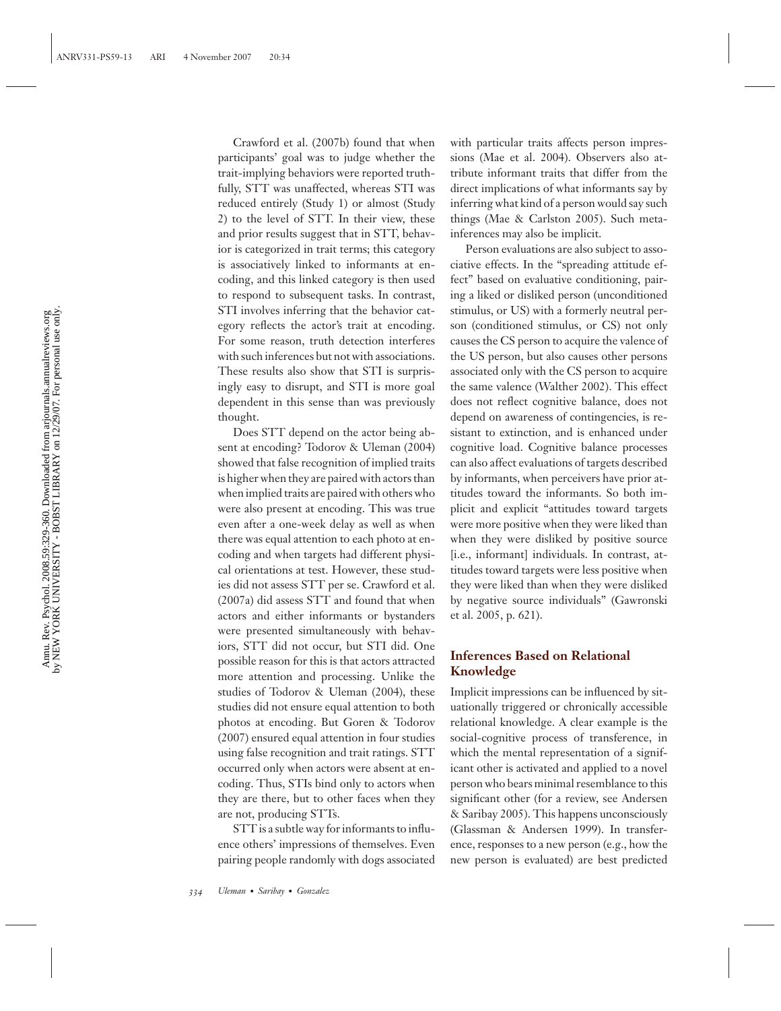Crawford et al. (2007b) found that when participants' goal was to judge whether the trait-implying behaviors were reported truthfully, STT was unaffected, whereas STI was reduced entirely (Study 1) or almost (Study 2) to the level of STT. In their view, these and prior results suggest that in STT, behavior is categorized in trait terms; this category is associatively linked to informants at encoding, and this linked category is then used to respond to subsequent tasks. In contrast, STI involves inferring that the behavior category reflects the actor's trait at encoding. For some reason, truth detection interferes with such inferences but not with associations. These results also show that STI is surprisingly easy to disrupt, and STI is more goal dependent in this sense than was previously thought.

Does STT depend on the actor being absent at encoding? Todorov & Uleman (2004) showed that false recognition of implied traits is higher when they are paired with actors than when implied traits are paired with others who were also present at encoding. This was true even after a one-week delay as well as when there was equal attention to each photo at encoding and when targets had different physical orientations at test. However, these studies did not assess STT per se. Crawford et al. (2007a) did assess STT and found that when actors and either informants or bystanders were presented simultaneously with behaviors, STT did not occur, but STI did. One possible reason for this is that actors attracted more attention and processing. Unlike the studies of Todorov & Uleman (2004), these studies did not ensure equal attention to both photos at encoding. But Goren & Todorov (2007) ensured equal attention in four studies using false recognition and trait ratings. STT occurred only when actors were absent at encoding. Thus, STIs bind only to actors when they are there, but to other faces when they are not, producing STTs.

STT is a subtle way for informants to influence others' impressions of themselves. Even pairing people randomly with dogs associated with particular traits affects person impressions (Mae et al. 2004). Observers also attribute informant traits that differ from the direct implications of what informants say by inferring what kind of a person would say such things (Mae & Carlston 2005). Such metainferences may also be implicit.

Person evaluations are also subject to associative effects. In the "spreading attitude effect" based on evaluative conditioning, pairing a liked or disliked person (unconditioned stimulus, or US) with a formerly neutral person (conditioned stimulus, or CS) not only causes the CS person to acquire the valence of the US person, but also causes other persons associated only with the CS person to acquire the same valence (Walther 2002). This effect does not reflect cognitive balance, does not depend on awareness of contingencies, is resistant to extinction, and is enhanced under cognitive load. Cognitive balance processes can also affect evaluations of targets described by informants, when perceivers have prior attitudes toward the informants. So both implicit and explicit "attitudes toward targets were more positive when they were liked than when they were disliked by positive source [i.e., informant] individuals. In contrast, attitudes toward targets were less positive when they were liked than when they were disliked by negative source individuals" (Gawronski et al. 2005, p. 621).

# **Inferences Based on Relational Knowledge**

Implicit impressions can be influenced by situationally triggered or chronically accessible relational knowledge. A clear example is the social-cognitive process of transference, in which the mental representation of a significant other is activated and applied to a novel person who bears minimal resemblance to this significant other (for a review, see Andersen & Saribay 2005). This happens unconsciously (Glassman & Andersen 1999). In transference, responses to a new person (e.g., how the new person is evaluated) are best predicted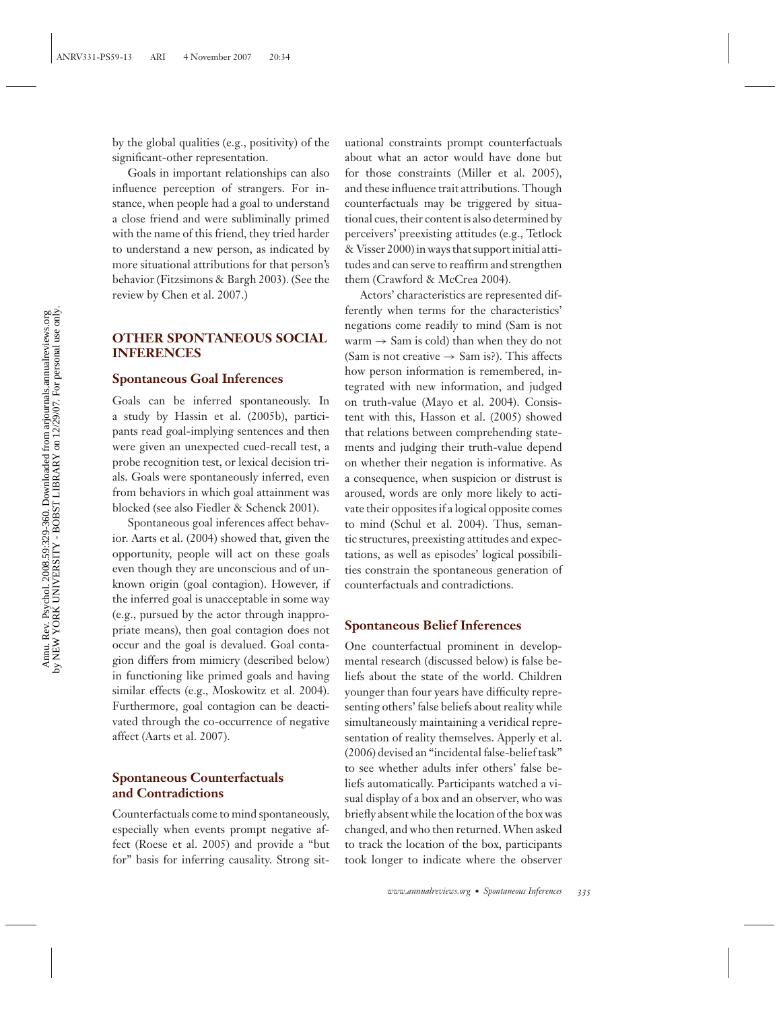Goals in important relationships can also influence perception of strangers. For instance, when people had a goal to understand a close friend and were subliminally primed with the name of this friend, they tried harder to understand a new person, as indicated by more situational attributions for that person's behavior (Fitzsimons & Bargh 2003). (See the review by Chen et al. 2007.)

# **OTHER SPONTANEOUS SOCIAL INFERENCES**

## **Spontaneous Goal Inferences**

Goals can be inferred spontaneously. In a study by Hassin et al. (2005b), participants read goal-implying sentences and then were given an unexpected cued-recall test, a probe recognition test, or lexical decision trials. Goals were spontaneously inferred, even from behaviors in which goal attainment was blocked (see also Fiedler & Schenck 2001).

Spontaneous goal inferences affect behavior. Aarts et al. (2004) showed that, given the opportunity, people will act on these goals even though they are unconscious and of unknown origin (goal contagion). However, if the inferred goal is unacceptable in some way (e.g., pursued by the actor through inappropriate means), then goal contagion does not occur and the goal is devalued. Goal contagion differs from mimicry (described below) in functioning like primed goals and having similar effects (e.g., Moskowitz et al. 2004). Furthermore, goal contagion can be deactivated through the co-occurrence of negative affect (Aarts et al. 2007).

# **Spontaneous Counterfactuals and Contradictions**

Counterfactuals come to mind spontaneously, especially when events prompt negative affect (Roese et al. 2005) and provide a "but for" basis for inferring causality. Strong situational constraints prompt counterfactuals about what an actor would have done but for those constraints (Miller et al. 2005), and these influence trait attributions. Though counterfactuals may be triggered by situational cues, their content is also determined by perceivers' preexisting attitudes (e.g., Tetlock & Visser 2000) in ways that support initial attitudes and can serve to reaffirm and strengthen them (Crawford & McCrea 2004).

Actors' characteristics are represented differently when terms for the characteristics' negations come readily to mind (Sam is not warm  $\rightarrow$  Sam is cold) than when they do not (Sam is not creative  $\rightarrow$  Sam is?). This affects how person information is remembered, integrated with new information, and judged on truth-value (Mayo et al. 2004). Consistent with this, Hasson et al. (2005) showed that relations between comprehending statements and judging their truth-value depend on whether their negation is informative. As a consequence, when suspicion or distrust is aroused, words are only more likely to activate their opposites if a logical opposite comes to mind (Schul et al. 2004). Thus, semantic structures, preexisting attitudes and expectations, as well as episodes' logical possibilities constrain the spontaneous generation of counterfactuals and contradictions.

# **Spontaneous Belief Inferences**

One counterfactual prominent in developmental research (discussed below) is false beliefs about the state of the world. Children younger than four years have difficulty representing others' false beliefs about reality while simultaneously maintaining a veridical representation of reality themselves. Apperly et al. (2006) devised an "incidental false-belief task" to see whether adults infer others' false beliefs automatically. Participants watched a visual display of a box and an observer, who was briefly absent while the location of the box was changed, and who then returned. When asked to track the location of the box, participants took longer to indicate where the observer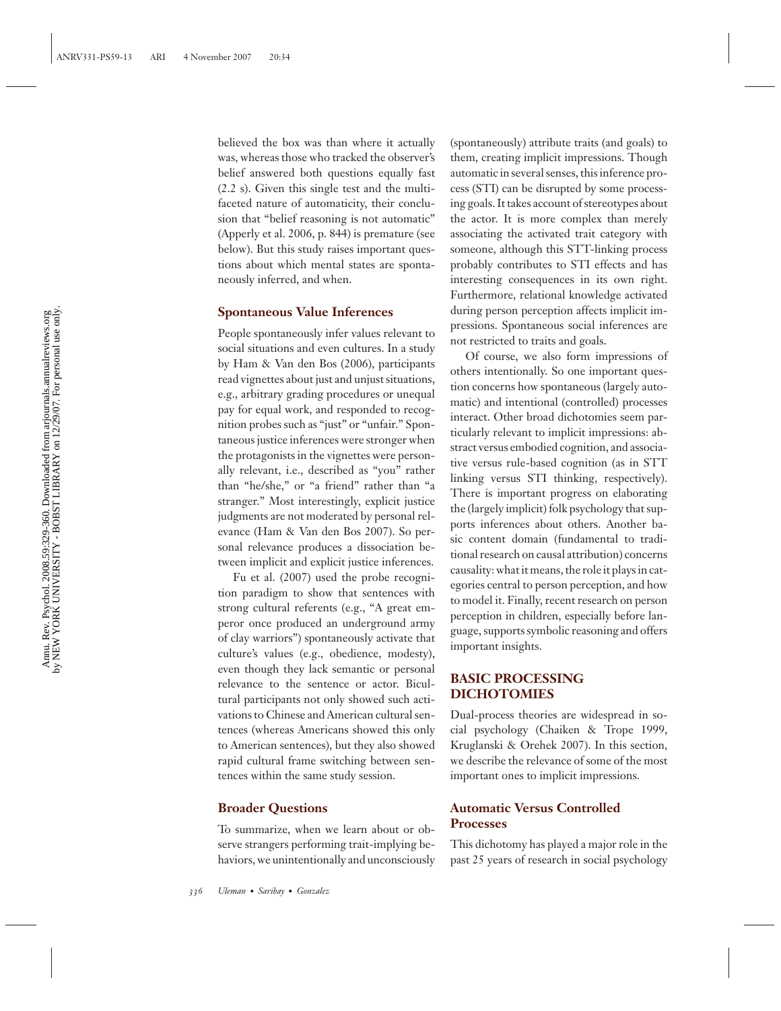believed the box was than where it actually was, whereas those who tracked the observer's belief answered both questions equally fast (2.2 s). Given this single test and the multifaceted nature of automaticity, their conclusion that "belief reasoning is not automatic" (Apperly et al. 2006, p. 844) is premature (see below). But this study raises important questions about which mental states are spontaneously inferred, and when.

## **Spontaneous Value Inferences**

People spontaneously infer values relevant to social situations and even cultures. In a study by Ham & Van den Bos (2006), participants read vignettes about just and unjust situations, e.g., arbitrary grading procedures or unequal pay for equal work, and responded to recognition probes such as "just" or "unfair." Spontaneous justice inferences were stronger when the protagonists in the vignettes were personally relevant, i.e., described as "you" rather than "he/she," or "a friend" rather than "a stranger." Most interestingly, explicit justice judgments are not moderated by personal relevance (Ham & Van den Bos 2007). So personal relevance produces a dissociation between implicit and explicit justice inferences.

Fu et al. (2007) used the probe recognition paradigm to show that sentences with strong cultural referents (e.g., "A great emperor once produced an underground army of clay warriors") spontaneously activate that culture's values (e.g., obedience, modesty), even though they lack semantic or personal relevance to the sentence or actor. Bicultural participants not only showed such activations to Chinese and American cultural sentences (whereas Americans showed this only to American sentences), but they also showed rapid cultural frame switching between sentences within the same study session.

## **Broader Questions**

To summarize, when we learn about or observe strangers performing trait-implying behaviors, we unintentionally and unconsciously (spontaneously) attribute traits (and goals) to them, creating implicit impressions. Though automatic in several senses, this inference process (STI) can be disrupted by some processing goals. It takes account of stereotypes about the actor. It is more complex than merely associating the activated trait category with someone, although this STT-linking process probably contributes to STI effects and has interesting consequences in its own right. Furthermore, relational knowledge activated during person perception affects implicit impressions. Spontaneous social inferences are not restricted to traits and goals.

Of course, we also form impressions of others intentionally. So one important question concerns how spontaneous (largely automatic) and intentional (controlled) processes interact. Other broad dichotomies seem particularly relevant to implicit impressions: abstract versus embodied cognition, and associative versus rule-based cognition (as in STT linking versus STI thinking, respectively). There is important progress on elaborating the (largely implicit) folk psychology that supports inferences about others. Another basic content domain (fundamental to traditional research on causal attribution) concerns causality: what it means, the role it plays in categories central to person perception, and how to model it. Finally, recent research on person perception in children, especially before language, supports symbolic reasoning and offers important insights.

# **BASIC PROCESSING DICHOTOMIES**

Dual-process theories are widespread in social psychology (Chaiken & Trope 1999, Kruglanski & Orehek 2007). In this section, we describe the relevance of some of the most important ones to implicit impressions.

# **Automatic Versus Controlled Processes**

This dichotomy has played a major role in the past 25 years of research in social psychology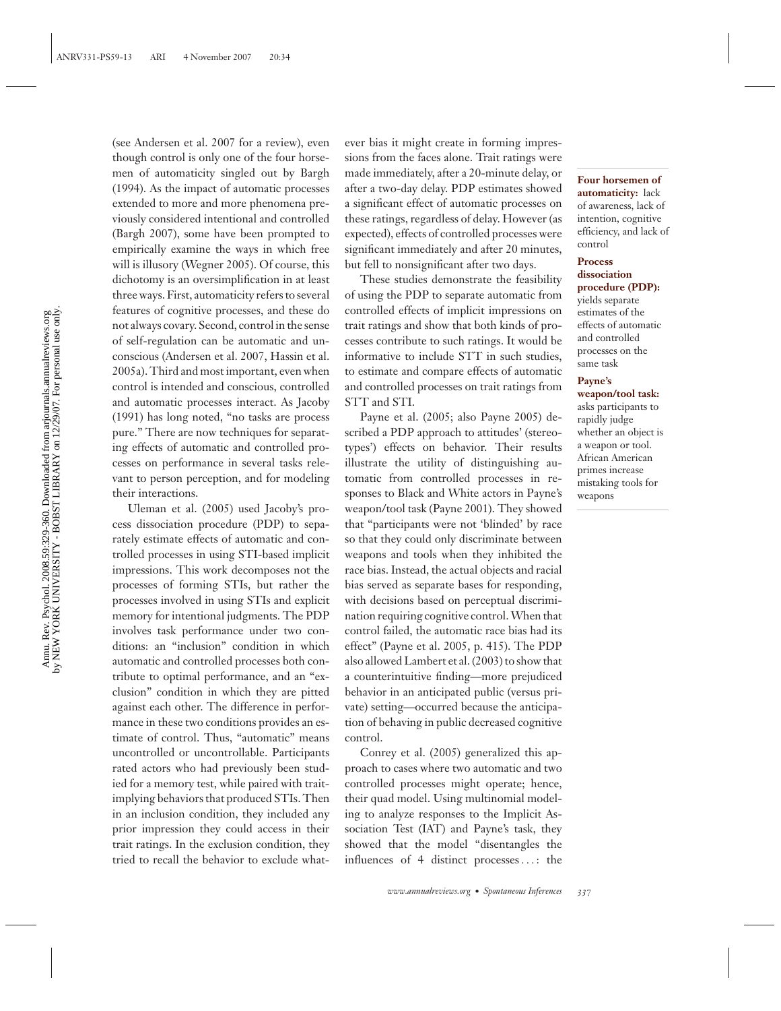(see Andersen et al. 2007 for a review), even though control is only one of the four horsemen of automaticity singled out by Bargh (1994). As the impact of automatic processes extended to more and more phenomena previously considered intentional and controlled (Bargh 2007), some have been prompted to empirically examine the ways in which free will is illusory (Wegner 2005). Of course, this dichotomy is an oversimplification in at least three ways. First, automaticity refers to several features of cognitive processes, and these do not always covary. Second, control in the sense of self-regulation can be automatic and unconscious (Andersen et al. 2007, Hassin et al. 2005a). Third and most important, even when control is intended and conscious, controlled and automatic processes interact. As Jacoby (1991) has long noted, "no tasks are process pure." There are now techniques for separating effects of automatic and controlled processes on performance in several tasks relevant to person perception, and for modeling their interactions.

Uleman et al. (2005) used Jacoby's process dissociation procedure (PDP) to separately estimate effects of automatic and controlled processes in using STI-based implicit impressions. This work decomposes not the processes of forming STIs, but rather the processes involved in using STIs and explicit memory for intentional judgments. The PDP involves task performance under two conditions: an "inclusion" condition in which automatic and controlled processes both contribute to optimal performance, and an "exclusion" condition in which they are pitted against each other. The difference in performance in these two conditions provides an estimate of control. Thus, "automatic" means uncontrolled or uncontrollable. Participants rated actors who had previously been studied for a memory test, while paired with traitimplying behaviors that produced STIs. Then in an inclusion condition, they included any prior impression they could access in their trait ratings. In the exclusion condition, they tried to recall the behavior to exclude whatever bias it might create in forming impressions from the faces alone. Trait ratings were made immediately, after a 20-minute delay, or after a two-day delay. PDP estimates showed a significant effect of automatic processes on these ratings, regardless of delay. However (as expected), effects of controlled processes were significant immediately and after 20 minutes, but fell to nonsignificant after two days.

These studies demonstrate the feasibility of using the PDP to separate automatic from controlled effects of implicit impressions on trait ratings and show that both kinds of processes contribute to such ratings. It would be informative to include STT in such studies, to estimate and compare effects of automatic and controlled processes on trait ratings from STT and STI.

Payne et al. (2005; also Payne 2005) described a PDP approach to attitudes' (stereotypes') effects on behavior. Their results illustrate the utility of distinguishing automatic from controlled processes in responses to Black and White actors in Payne's weapon/tool task (Payne 2001). They showed that "participants were not 'blinded' by race so that they could only discriminate between weapons and tools when they inhibited the race bias. Instead, the actual objects and racial bias served as separate bases for responding, with decisions based on perceptual discrimination requiring cognitive control. When that control failed, the automatic race bias had its effect" (Payne et al. 2005, p. 415). The PDP also allowed Lambert et al. (2003) to show that a counterintuitive finding—more prejudiced behavior in an anticipated public (versus private) setting—occurred because the anticipation of behaving in public decreased cognitive control.

Conrey et al. (2005) generalized this approach to cases where two automatic and two controlled processes might operate; hence, their quad model. Using multinomial modeling to analyze responses to the Implicit Association Test (IAT) and Payne's task, they showed that the model "disentangles the influences of 4 distinct processes... : the **Four horsemen of automaticity:** lack of awareness, lack of intention, cognitive efficiency, and lack of control

## **Process dissociation procedure (PDP):**

yields separate estimates of the effects of automatic and controlled processes on the same task

#### **Payne's weapon/tool task:**

asks participants to rapidly judge whether an object is a weapon or tool. African American primes increase mistaking tools for weapons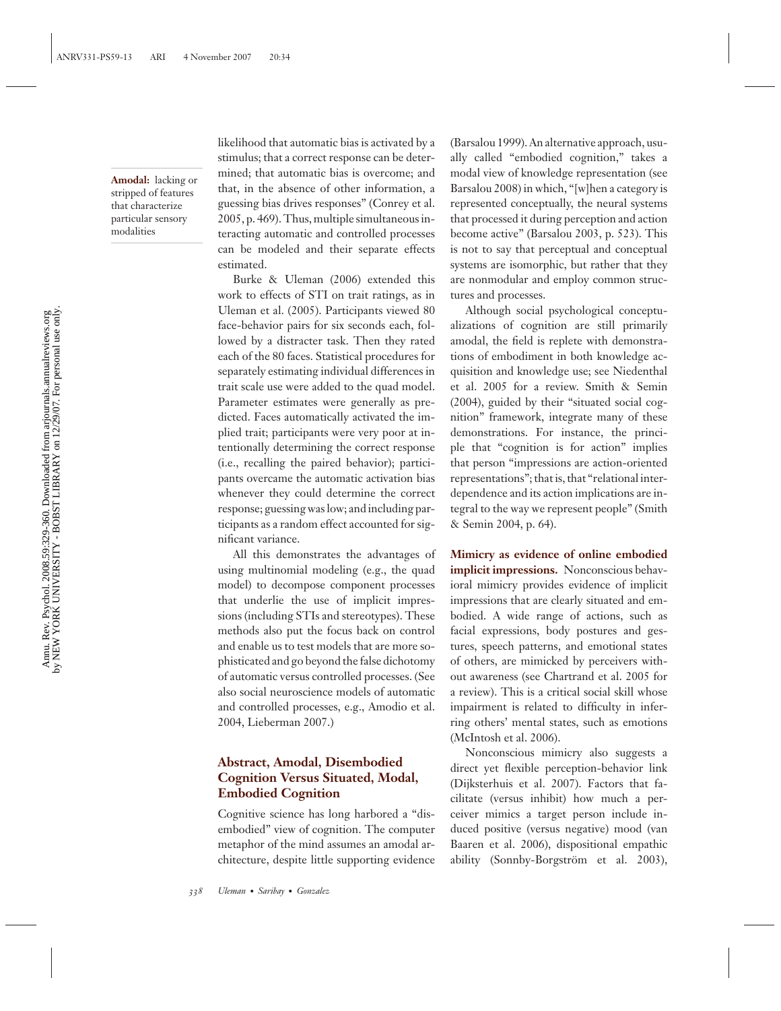**Amodal:** lacking or stripped of features that characterize particular sensory modalities

likelihood that automatic bias is activated by a stimulus; that a correct response can be determined; that automatic bias is overcome; and that, in the absence of other information, a guessing bias drives responses" (Conrey et al. 2005, p. 469). Thus, multiple simultaneous interacting automatic and controlled processes can be modeled and their separate effects estimated.

Burke & Uleman (2006) extended this work to effects of STI on trait ratings, as in Uleman et al. (2005). Participants viewed 80 face-behavior pairs for six seconds each, followed by a distracter task. Then they rated each of the 80 faces. Statistical procedures for separately estimating individual differences in trait scale use were added to the quad model. Parameter estimates were generally as predicted. Faces automatically activated the implied trait; participants were very poor at intentionally determining the correct response (i.e., recalling the paired behavior); participants overcame the automatic activation bias whenever they could determine the correct response; guessing was low; and including participants as a random effect accounted for significant variance.

All this demonstrates the advantages of using multinomial modeling (e.g., the quad model) to decompose component processes that underlie the use of implicit impressions (including STIs and stereotypes). These methods also put the focus back on control and enable us to test models that are more sophisticated and go beyond the false dichotomy of automatic versus controlled processes. (See also social neuroscience models of automatic and controlled processes, e.g., Amodio et al. 2004, Lieberman 2007.)

# **Abstract, Amodal, Disembodied Cognition Versus Situated, Modal, Embodied Cognition**

Cognitive science has long harbored a "disembodied" view of cognition. The computer metaphor of the mind assumes an amodal architecture, despite little supporting evidence

(Barsalou 1999). An alternative approach, usually called "embodied cognition," takes a modal view of knowledge representation (see Barsalou 2008) in which, "[w]hen a category is represented conceptually, the neural systems that processed it during perception and action become active" (Barsalou 2003, p. 523). This is not to say that perceptual and conceptual systems are isomorphic, but rather that they are nonmodular and employ common structures and processes.

Although social psychological conceptualizations of cognition are still primarily amodal, the field is replete with demonstrations of embodiment in both knowledge acquisition and knowledge use; see Niedenthal et al. 2005 for a review. Smith & Semin (2004), guided by their "situated social cognition" framework, integrate many of these demonstrations. For instance, the principle that "cognition is for action" implies that person "impressions are action-oriented representations"; that is, that "relational interdependence and its action implications are integral to the way we represent people" (Smith & Semin 2004, p. 64).

**Mimicry as evidence of online embodied implicit impressions.** Nonconscious behavioral mimicry provides evidence of implicit impressions that are clearly situated and embodied. A wide range of actions, such as facial expressions, body postures and gestures, speech patterns, and emotional states of others, are mimicked by perceivers without awareness (see Chartrand et al. 2005 for a review). This is a critical social skill whose impairment is related to difficulty in inferring others' mental states, such as emotions (McIntosh et al. 2006).

Nonconscious mimicry also suggests a direct yet flexible perception-behavior link (Dijksterhuis et al. 2007). Factors that facilitate (versus inhibit) how much a perceiver mimics a target person include induced positive (versus negative) mood (van Baaren et al. 2006), dispositional empathic ability (Sonnby-Borgström et al. 2003),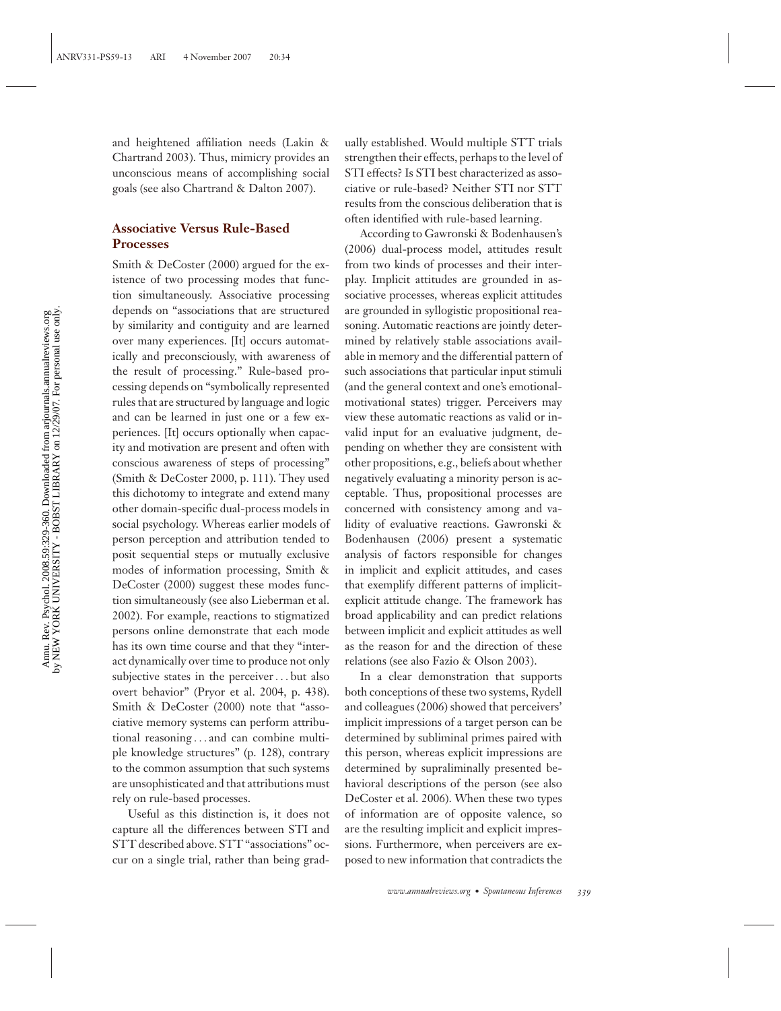and heightened affiliation needs (Lakin & Chartrand 2003). Thus, mimicry provides an unconscious means of accomplishing social goals (see also Chartrand & Dalton 2007).

# **Associative Versus Rule-Based Processes**

Smith & DeCoster (2000) argued for the existence of two processing modes that function simultaneously. Associative processing depends on "associations that are structured by similarity and contiguity and are learned over many experiences. [It] occurs automatically and preconsciously, with awareness of the result of processing." Rule-based processing depends on "symbolically represented rules that are structured by language and logic and can be learned in just one or a few experiences. [It] occurs optionally when capacity and motivation are present and often with conscious awareness of steps of processing" (Smith & DeCoster 2000, p. 111). They used this dichotomy to integrate and extend many other domain-specific dual-process models in social psychology. Whereas earlier models of person perception and attribution tended to posit sequential steps or mutually exclusive modes of information processing, Smith & DeCoster (2000) suggest these modes function simultaneously (see also Lieberman et al. 2002). For example, reactions to stigmatized persons online demonstrate that each mode has its own time course and that they "interact dynamically over time to produce not only subjective states in the perceiver... but also overt behavior" (Pryor et al. 2004, p. 438). Smith & DeCoster (2000) note that "associative memory systems can perform attributional reasoning ... and can combine multiple knowledge structures" (p. 128), contrary to the common assumption that such systems are unsophisticated and that attributions must rely on rule-based processes.

Useful as this distinction is, it does not capture all the differences between STI and STT described above. STT "associations" occur on a single trial, rather than being gradually established. Would multiple STT trials strengthen their effects, perhaps to the level of STI effects? Is STI best characterized as associative or rule-based? Neither STI nor STT results from the conscious deliberation that is often identified with rule-based learning.

According to Gawronski & Bodenhausen's (2006) dual-process model, attitudes result from two kinds of processes and their interplay. Implicit attitudes are grounded in associative processes, whereas explicit attitudes are grounded in syllogistic propositional reasoning. Automatic reactions are jointly determined by relatively stable associations available in memory and the differential pattern of such associations that particular input stimuli (and the general context and one's emotionalmotivational states) trigger. Perceivers may view these automatic reactions as valid or invalid input for an evaluative judgment, depending on whether they are consistent with other propositions, e.g., beliefs about whether negatively evaluating a minority person is acceptable. Thus, propositional processes are concerned with consistency among and validity of evaluative reactions. Gawronski & Bodenhausen (2006) present a systematic analysis of factors responsible for changes in implicit and explicit attitudes, and cases that exemplify different patterns of implicitexplicit attitude change. The framework has broad applicability and can predict relations between implicit and explicit attitudes as well as the reason for and the direction of these relations (see also Fazio & Olson 2003).

In a clear demonstration that supports both conceptions of these two systems, Rydell and colleagues (2006) showed that perceivers' implicit impressions of a target person can be determined by subliminal primes paired with this person, whereas explicit impressions are determined by supraliminally presented behavioral descriptions of the person (see also DeCoster et al. 2006). When these two types of information are of opposite valence, so are the resulting implicit and explicit impressions. Furthermore, when perceivers are exposed to new information that contradicts the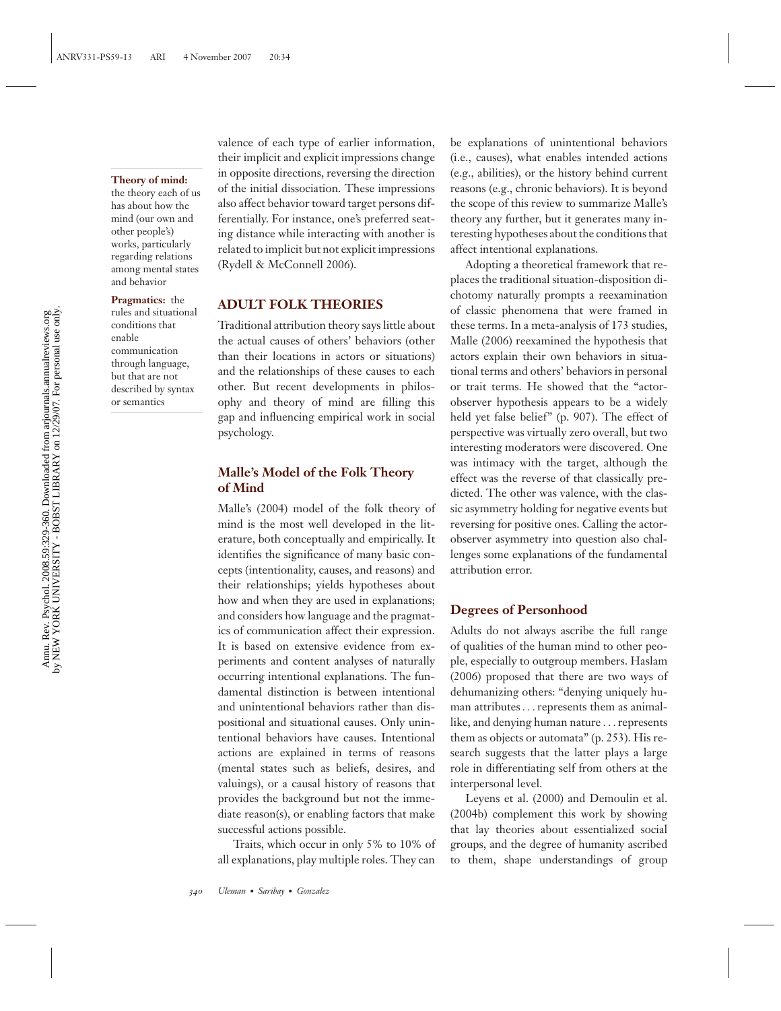#### **Theory of mind:**

the theory each of us has about how the mind (our own and other people's) works, particularly regarding relations among mental states and behavior

## **Pragmatics:** the

rules and situational conditions that enable communication through language, but that are not described by syntax or semantics

valence of each type of earlier information, their implicit and explicit impressions change in opposite directions, reversing the direction of the initial dissociation. These impressions also affect behavior toward target persons differentially. For instance, one's preferred seating distance while interacting with another is related to implicit but not explicit impressions (Rydell & McConnell 2006).

# **ADULT FOLK THEORIES**

Traditional attribution theory says little about the actual causes of others' behaviors (other than their locations in actors or situations) and the relationships of these causes to each other. But recent developments in philosophy and theory of mind are filling this gap and influencing empirical work in social psychology.

# **Malle's Model of the Folk Theory of Mind**

Malle's (2004) model of the folk theory of mind is the most well developed in the literature, both conceptually and empirically. It identifies the significance of many basic concepts (intentionality, causes, and reasons) and their relationships; yields hypotheses about how and when they are used in explanations; and considers how language and the pragmatics of communication affect their expression. It is based on extensive evidence from experiments and content analyses of naturally occurring intentional explanations. The fundamental distinction is between intentional and unintentional behaviors rather than dispositional and situational causes. Only unintentional behaviors have causes. Intentional actions are explained in terms of reasons (mental states such as beliefs, desires, and valuings), or a causal history of reasons that provides the background but not the immediate reason(s), or enabling factors that make successful actions possible.

Traits, which occur in only 5% to 10% of all explanations, play multiple roles. They can

be explanations of unintentional behaviors (i.e., causes), what enables intended actions (e.g., abilities), or the history behind current reasons (e.g., chronic behaviors). It is beyond the scope of this review to summarize Malle's theory any further, but it generates many interesting hypotheses about the conditions that affect intentional explanations.

Adopting a theoretical framework that replaces the traditional situation-disposition dichotomy naturally prompts a reexamination of classic phenomena that were framed in these terms. In a meta-analysis of 173 studies, Malle (2006) reexamined the hypothesis that actors explain their own behaviors in situational terms and others' behaviors in personal or trait terms. He showed that the "actorobserver hypothesis appears to be a widely held yet false belief" (p. 907). The effect of perspective was virtually zero overall, but two interesting moderators were discovered. One was intimacy with the target, although the effect was the reverse of that classically predicted. The other was valence, with the classic asymmetry holding for negative events but reversing for positive ones. Calling the actorobserver asymmetry into question also challenges some explanations of the fundamental attribution error.

## **Degrees of Personhood**

Adults do not always ascribe the full range of qualities of the human mind to other people, especially to outgroup members. Haslam (2006) proposed that there are two ways of dehumanizing others: "denying uniquely human attributes... represents them as animallike, and denying human nature ... represents them as objects or automata" (p. 253). His research suggests that the latter plays a large role in differentiating self from others at the interpersonal level.

Leyens et al. (2000) and Demoulin et al. (2004b) complement this work by showing that lay theories about essentialized social groups, and the degree of humanity ascribed to them, shape understandings of group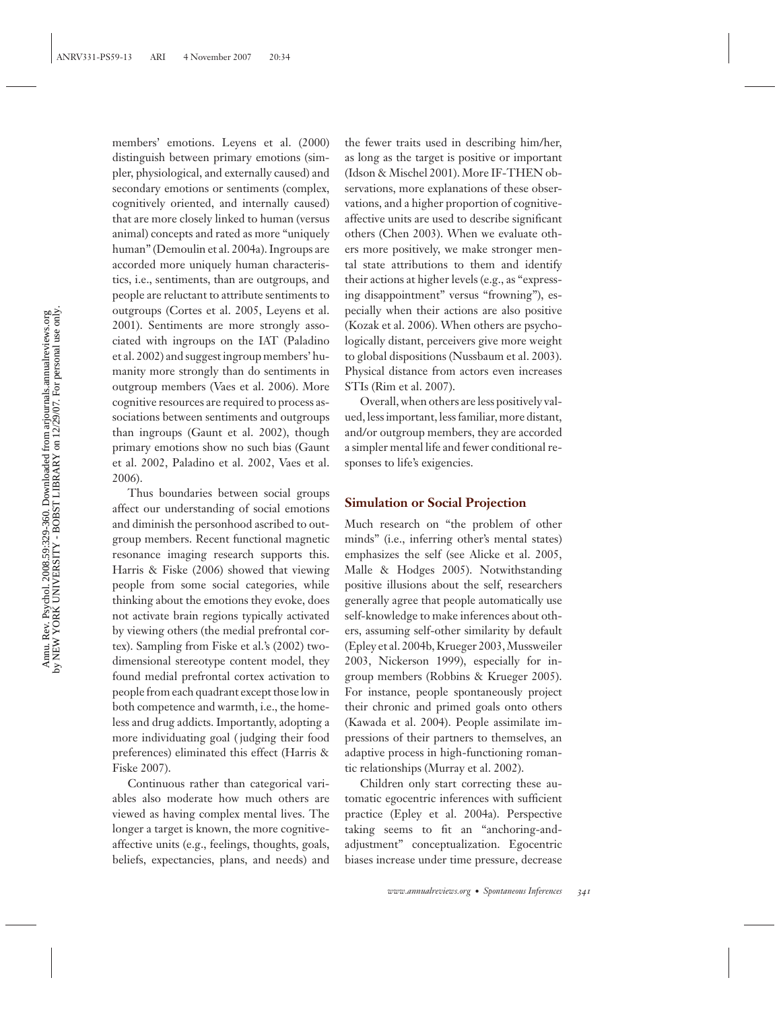members' emotions. Leyens et al. (2000) distinguish between primary emotions (simpler, physiological, and externally caused) and secondary emotions or sentiments (complex, cognitively oriented, and internally caused) that are more closely linked to human (versus animal) concepts and rated as more "uniquely human" (Demoulin et al. 2004a). Ingroups are accorded more uniquely human characteristics, i.e., sentiments, than are outgroups, and people are reluctant to attribute sentiments to outgroups (Cortes et al. 2005, Leyens et al. 2001). Sentiments are more strongly associated with ingroups on the IAT (Paladino et al. 2002) and suggest ingroup members' humanity more strongly than do sentiments in outgroup members (Vaes et al. 2006). More cognitive resources are required to process associations between sentiments and outgroups than ingroups (Gaunt et al. 2002), though primary emotions show no such bias (Gaunt et al. 2002, Paladino et al. 2002, Vaes et al. 2006).

Thus boundaries between social groups affect our understanding of social emotions and diminish the personhood ascribed to outgroup members. Recent functional magnetic resonance imaging research supports this. Harris & Fiske (2006) showed that viewing people from some social categories, while thinking about the emotions they evoke, does not activate brain regions typically activated by viewing others (the medial prefrontal cortex). Sampling from Fiske et al.'s (2002) twodimensional stereotype content model, they found medial prefrontal cortex activation to people from each quadrant except those low in both competence and warmth, i.e., the homeless and drug addicts. Importantly, adopting a more individuating goal ( judging their food preferences) eliminated this effect (Harris & Fiske 2007).

Continuous rather than categorical variables also moderate how much others are viewed as having complex mental lives. The longer a target is known, the more cognitiveaffective units (e.g., feelings, thoughts, goals, beliefs, expectancies, plans, and needs) and the fewer traits used in describing him/her, as long as the target is positive or important (Idson & Mischel 2001). More IF-THEN observations, more explanations of these observations, and a higher proportion of cognitiveaffective units are used to describe significant others (Chen 2003). When we evaluate others more positively, we make stronger mental state attributions to them and identify their actions at higher levels (e.g., as "expressing disappointment" versus "frowning"), especially when their actions are also positive (Kozak et al. 2006). When others are psychologically distant, perceivers give more weight to global dispositions (Nussbaum et al. 2003). Physical distance from actors even increases STIs (Rim et al. 2007).

Overall, when others are less positively valued, less important, less familiar, more distant, and/or outgroup members, they are accorded a simpler mental life and fewer conditional responses to life's exigencies.

#### **Simulation or Social Projection**

Much research on "the problem of other minds" (i.e., inferring other's mental states) emphasizes the self (see Alicke et al. 2005, Malle & Hodges 2005). Notwithstanding positive illusions about the self, researchers generally agree that people automatically use self-knowledge to make inferences about others, assuming self-other similarity by default (Epley et al. 2004b, Krueger 2003, Mussweiler 2003, Nickerson 1999), especially for ingroup members (Robbins & Krueger 2005). For instance, people spontaneously project their chronic and primed goals onto others (Kawada et al. 2004). People assimilate impressions of their partners to themselves, an adaptive process in high-functioning romantic relationships (Murray et al. 2002).

Children only start correcting these automatic egocentric inferences with sufficient practice (Epley et al. 2004a). Perspective taking seems to fit an "anchoring-andadjustment" conceptualization. Egocentric biases increase under time pressure, decrease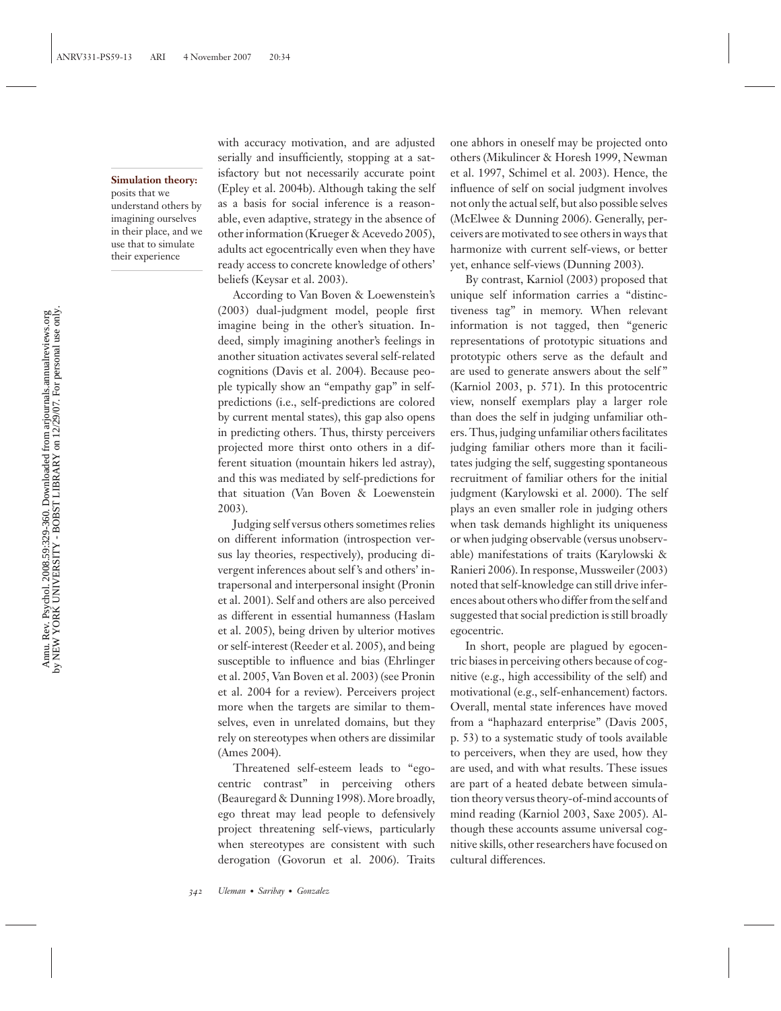#### **Simulation theory:**

posits that we understand others by imagining ourselves in their place, and we use that to simulate their experience

with accuracy motivation, and are adjusted serially and insufficiently, stopping at a satisfactory but not necessarily accurate point (Epley et al. 2004b). Although taking the self as a basis for social inference is a reasonable, even adaptive, strategy in the absence of other information (Krueger & Acevedo 2005), adults act egocentrically even when they have ready access to concrete knowledge of others' beliefs (Keysar et al. 2003).

According to Van Boven & Loewenstein's (2003) dual-judgment model, people first imagine being in the other's situation. Indeed, simply imagining another's feelings in another situation activates several self-related cognitions (Davis et al. 2004). Because people typically show an "empathy gap" in selfpredictions (i.e., self-predictions are colored by current mental states), this gap also opens in predicting others. Thus, thirsty perceivers projected more thirst onto others in a different situation (mountain hikers led astray), and this was mediated by self-predictions for that situation (Van Boven & Loewenstein 2003).

Judging self versus others sometimes relies on different information (introspection versus lay theories, respectively), producing divergent inferences about self 's and others' intrapersonal and interpersonal insight (Pronin et al. 2001). Self and others are also perceived as different in essential humanness (Haslam et al. 2005), being driven by ulterior motives or self-interest (Reeder et al. 2005), and being susceptible to influence and bias (Ehrlinger et al. 2005, Van Boven et al. 2003) (see Pronin et al. 2004 for a review). Perceivers project more when the targets are similar to themselves, even in unrelated domains, but they rely on stereotypes when others are dissimilar (Ames 2004).

Threatened self-esteem leads to "egocentric contrast" in perceiving others (Beauregard & Dunning 1998). More broadly, ego threat may lead people to defensively project threatening self-views, particularly when stereotypes are consistent with such derogation (Govorun et al. 2006). Traits one abhors in oneself may be projected onto others (Mikulincer & Horesh 1999, Newman et al. 1997, Schimel et al. 2003). Hence, the influence of self on social judgment involves not only the actual self, but also possible selves (McElwee & Dunning 2006). Generally, perceivers are motivated to see others in ways that harmonize with current self-views, or better yet, enhance self-views (Dunning 2003).

By contrast, Karniol (2003) proposed that unique self information carries a "distinctiveness tag" in memory. When relevant information is not tagged, then "generic representations of prototypic situations and prototypic others serve as the default and are used to generate answers about the self " (Karniol 2003, p. 571). In this protocentric view, nonself exemplars play a larger role than does the self in judging unfamiliar others. Thus, judging unfamiliar others facilitates judging familiar others more than it facilitates judging the self, suggesting spontaneous recruitment of familiar others for the initial judgment (Karylowski et al. 2000). The self plays an even smaller role in judging others when task demands highlight its uniqueness or when judging observable (versus unobservable) manifestations of traits (Karylowski & Ranieri 2006). In response, Mussweiler (2003) noted that self-knowledge can still drive inferences about others who differ from the self and suggested that social prediction is still broadly egocentric.

In short, people are plagued by egocentric biases in perceiving others because of cognitive (e.g., high accessibility of the self) and motivational (e.g., self-enhancement) factors. Overall, mental state inferences have moved from a "haphazard enterprise" (Davis 2005, p. 53) to a systematic study of tools available to perceivers, when they are used, how they are used, and with what results. These issues are part of a heated debate between simulation theory versus theory-of-mind accounts of mind reading (Karniol 2003, Saxe 2005). Although these accounts assume universal cognitive skills, other researchers have focused on cultural differences.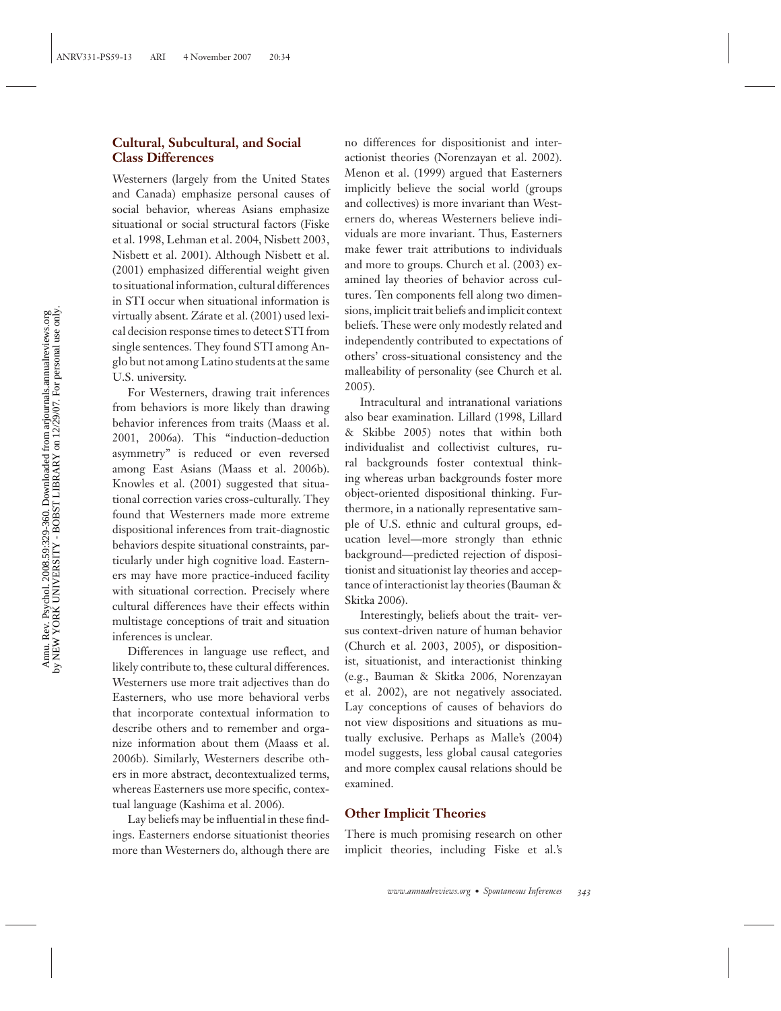# **Cultural, Subcultural, and Social Class Differences**

Westerners (largely from the United States and Canada) emphasize personal causes of social behavior, whereas Asians emphasize situational or social structural factors (Fiske et al. 1998, Lehman et al. 2004, Nisbett 2003, Nisbett et al. 2001). Although Nisbett et al. (2001) emphasized differential weight given to situational information, cultural differences in STI occur when situational information is virtually absent. Zárate et al. (2001) used lexical decision response times to detect STI from single sentences. They found STI among Anglo but not among Latino students at the same U.S. university.

For Westerners, drawing trait inferences from behaviors is more likely than drawing behavior inferences from traits (Maass et al. 2001, 2006a). This "induction-deduction asymmetry" is reduced or even reversed among East Asians (Maass et al. 2006b). Knowles et al. (2001) suggested that situational correction varies cross-culturally. They found that Westerners made more extreme dispositional inferences from trait-diagnostic behaviors despite situational constraints, particularly under high cognitive load. Easterners may have more practice-induced facility with situational correction. Precisely where cultural differences have their effects within multistage conceptions of trait and situation inferences is unclear.

Differences in language use reflect, and likely contribute to, these cultural differences. Westerners use more trait adjectives than do Easterners, who use more behavioral verbs that incorporate contextual information to describe others and to remember and organize information about them (Maass et al. 2006b). Similarly, Westerners describe others in more abstract, decontextualized terms, whereas Easterners use more specific, contextual language (Kashima et al. 2006).

Lay beliefs may be influential in these findings. Easterners endorse situationist theories more than Westerners do, although there are no differences for dispositionist and interactionist theories (Norenzayan et al. 2002). Menon et al. (1999) argued that Easterners implicitly believe the social world (groups and collectives) is more invariant than Westerners do, whereas Westerners believe individuals are more invariant. Thus, Easterners make fewer trait attributions to individuals and more to groups. Church et al. (2003) examined lay theories of behavior across cultures. Ten components fell along two dimensions, implicit trait beliefs and implicit context beliefs. These were only modestly related and independently contributed to expectations of others' cross-situational consistency and the malleability of personality (see Church et al. 2005).

Intracultural and intranational variations also bear examination. Lillard (1998, Lillard & Skibbe 2005) notes that within both individualist and collectivist cultures, rural backgrounds foster contextual thinking whereas urban backgrounds foster more object-oriented dispositional thinking. Furthermore, in a nationally representative sample of U.S. ethnic and cultural groups, education level—more strongly than ethnic background—predicted rejection of dispositionist and situationist lay theories and acceptance of interactionist lay theories (Bauman & Skitka 2006).

Interestingly, beliefs about the trait- versus context-driven nature of human behavior (Church et al. 2003, 2005), or dispositionist, situationist, and interactionist thinking (e.g., Bauman & Skitka 2006, Norenzayan et al. 2002), are not negatively associated. Lay conceptions of causes of behaviors do not view dispositions and situations as mutually exclusive. Perhaps as Malle's (2004) model suggests, less global causal categories and more complex causal relations should be examined.

# **Other Implicit Theories**

There is much promising research on other implicit theories, including Fiske et al.'s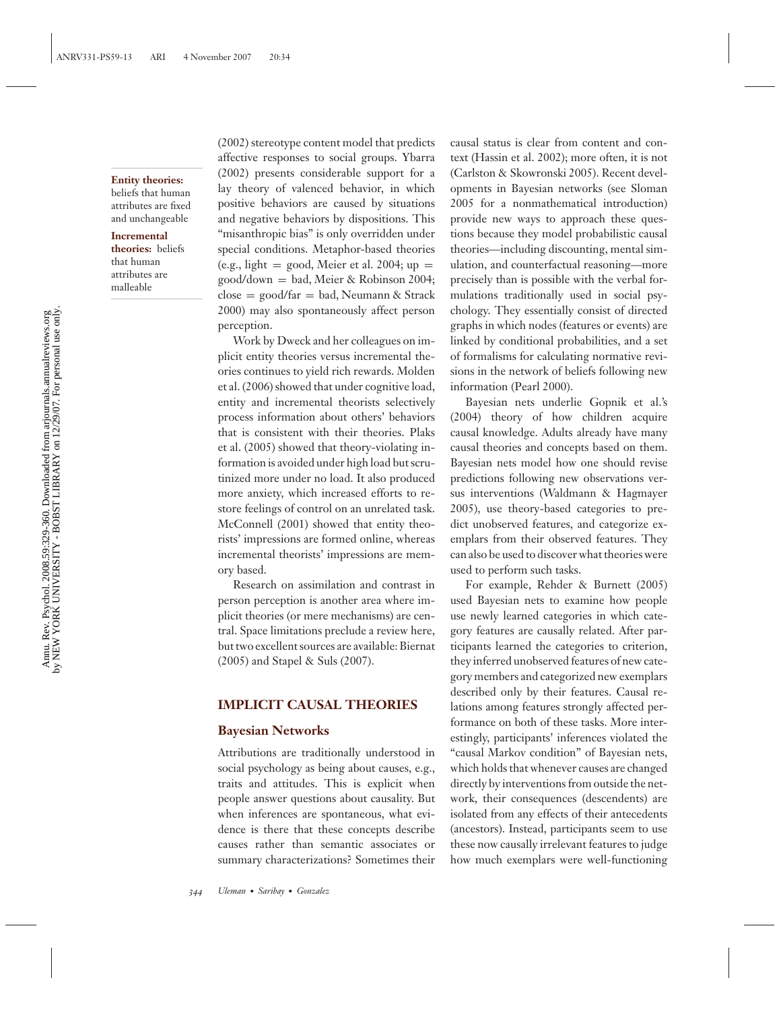#### **Entity theories:**

beliefs that human attributes are fixed and unchangeable

### **Incremental**

**theories:** beliefs that human attributes are malleable

(2002) stereotype content model that predicts affective responses to social groups. Ybarra (2002) presents considerable support for a lay theory of valenced behavior, in which positive behaviors are caused by situations and negative behaviors by dispositions. This "misanthropic bias" is only overridden under special conditions. Metaphor-based theories (e.g., light = good, Meier et al. 2004; up = good/down = bad, Meier & Robinson 2004;  $close = good/far = bad$ , Neumann & Strack 2000) may also spontaneously affect person perception.

Work by Dweck and her colleagues on implicit entity theories versus incremental theories continues to yield rich rewards. Molden et al. (2006) showed that under cognitive load, entity and incremental theorists selectively process information about others' behaviors that is consistent with their theories. Plaks et al. (2005) showed that theory-violating information is avoided under high load but scrutinized more under no load. It also produced more anxiety, which increased efforts to restore feelings of control on an unrelated task. McConnell (2001) showed that entity theorists' impressions are formed online, whereas incremental theorists' impressions are memory based.

Research on assimilation and contrast in person perception is another area where implicit theories (or mere mechanisms) are central. Space limitations preclude a review here, but two excellent sources are available: Biernat (2005) and Stapel & Suls (2007).

# **IMPLICIT CAUSAL THEORIES**

## **Bayesian Networks**

Attributions are traditionally understood in social psychology as being about causes, e.g., traits and attitudes. This is explicit when people answer questions about causality. But when inferences are spontaneous, what evidence is there that these concepts describe causes rather than semantic associates or summary characterizations? Sometimes their causal status is clear from content and context (Hassin et al. 2002); more often, it is not (Carlston & Skowronski 2005). Recent developments in Bayesian networks (see Sloman 2005 for a nonmathematical introduction) provide new ways to approach these questions because they model probabilistic causal theories—including discounting, mental simulation, and counterfactual reasoning—more precisely than is possible with the verbal formulations traditionally used in social psychology. They essentially consist of directed graphs in which nodes (features or events) are linked by conditional probabilities, and a set of formalisms for calculating normative revisions in the network of beliefs following new information (Pearl 2000).

Bayesian nets underlie Gopnik et al.'s (2004) theory of how children acquire causal knowledge. Adults already have many causal theories and concepts based on them. Bayesian nets model how one should revise predictions following new observations versus interventions (Waldmann & Hagmayer 2005), use theory-based categories to predict unobserved features, and categorize exemplars from their observed features. They can also be used to discover what theories were used to perform such tasks.

For example, Rehder & Burnett (2005) used Bayesian nets to examine how people use newly learned categories in which category features are causally related. After participants learned the categories to criterion, they inferred unobserved features of new category members and categorized new exemplars described only by their features. Causal relations among features strongly affected performance on both of these tasks. More interestingly, participants' inferences violated the "causal Markov condition" of Bayesian nets, which holds that whenever causes are changed directly by interventions from outside the network, their consequences (descendents) are isolated from any effects of their antecedents (ancestors). Instead, participants seem to use these now causally irrelevant features to judge how much exemplars were well-functioning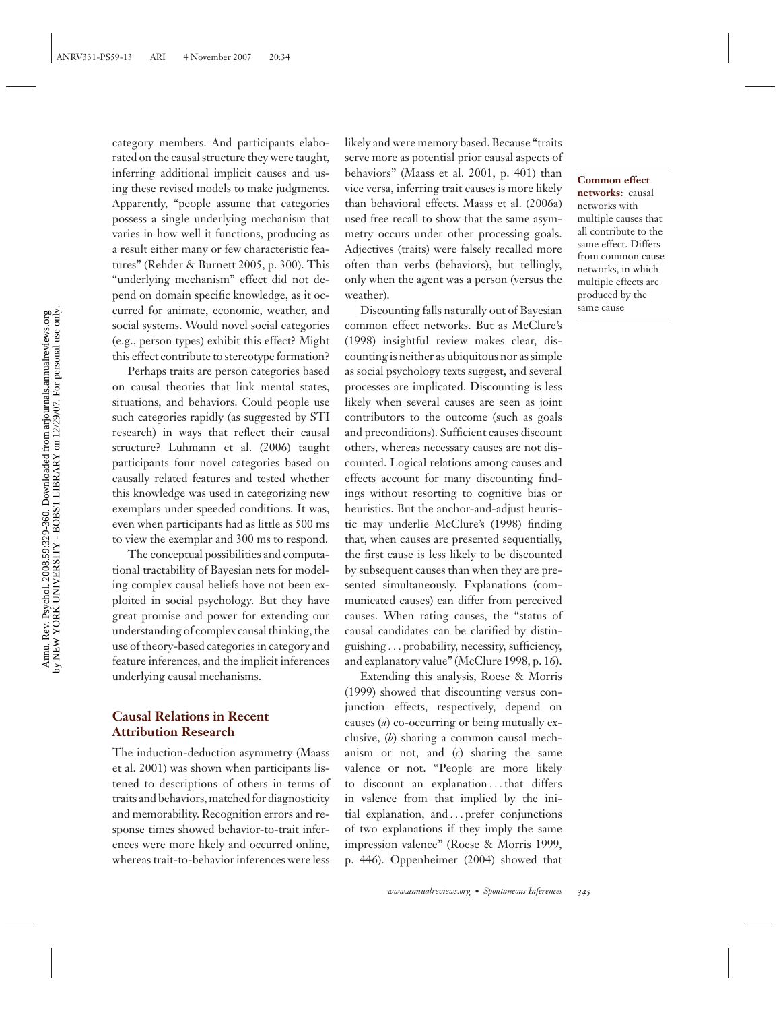category members. And participants elaborated on the causal structure they were taught, inferring additional implicit causes and using these revised models to make judgments. Apparently, "people assume that categories possess a single underlying mechanism that varies in how well it functions, producing as a result either many or few characteristic features" (Rehder & Burnett 2005, p. 300). This "underlying mechanism" effect did not depend on domain specific knowledge, as it occurred for animate, economic, weather, and social systems. Would novel social categories (e.g., person types) exhibit this effect? Might this effect contribute to stereotype formation?

Perhaps traits are person categories based on causal theories that link mental states, situations, and behaviors. Could people use such categories rapidly (as suggested by STI research) in ways that reflect their causal structure? Luhmann et al. (2006) taught participants four novel categories based on causally related features and tested whether this knowledge was used in categorizing new exemplars under speeded conditions. It was, even when participants had as little as 500 ms to view the exemplar and 300 ms to respond.

The conceptual possibilities and computational tractability of Bayesian nets for modeling complex causal beliefs have not been exploited in social psychology. But they have great promise and power for extending our understanding of complex causal thinking, the use of theory-based categories in category and feature inferences, and the implicit inferences underlying causal mechanisms.

# **Causal Relations in Recent Attribution Research**

The induction-deduction asymmetry (Maass et al. 2001) was shown when participants listened to descriptions of others in terms of traits and behaviors, matched for diagnosticity and memorability. Recognition errors and response times showed behavior-to-trait inferences were more likely and occurred online, whereas trait-to-behavior inferences were less likely and were memory based. Because "traits serve more as potential prior causal aspects of behaviors" (Maass et al. 2001, p. 401) than vice versa, inferring trait causes is more likely than behavioral effects. Maass et al. (2006a) used free recall to show that the same asymmetry occurs under other processing goals. Adjectives (traits) were falsely recalled more often than verbs (behaviors), but tellingly, only when the agent was a person (versus the weather).

Discounting falls naturally out of Bayesian common effect networks. But as McClure's (1998) insightful review makes clear, discounting is neither as ubiquitous nor as simple as social psychology texts suggest, and several processes are implicated. Discounting is less likely when several causes are seen as joint contributors to the outcome (such as goals and preconditions). Sufficient causes discount others, whereas necessary causes are not discounted. Logical relations among causes and effects account for many discounting findings without resorting to cognitive bias or heuristics. But the anchor-and-adjust heuristic may underlie McClure's (1998) finding that, when causes are presented sequentially, the first cause is less likely to be discounted by subsequent causes than when they are presented simultaneously. Explanations (communicated causes) can differ from perceived causes. When rating causes, the "status of causal candidates can be clarified by distinguishing ... probability, necessity, sufficiency, and explanatory value" (McClure 1998, p. 16).

Extending this analysis, Roese & Morris (1999) showed that discounting versus conjunction effects, respectively, depend on causes (*a*) co-occurring or being mutually exclusive, (*b*) sharing a common causal mechanism or not, and (*c*) sharing the same valence or not. "People are more likely to discount an explanation ... that differs in valence from that implied by the initial explanation, and ... prefer conjunctions of two explanations if they imply the same impression valence" (Roese & Morris 1999, p. 446). Oppenheimer (2004) showed that

**Common effect networks:** causal networks with multiple causes that all contribute to the same effect. Differs from common cause networks, in which multiple effects are produced by the same cause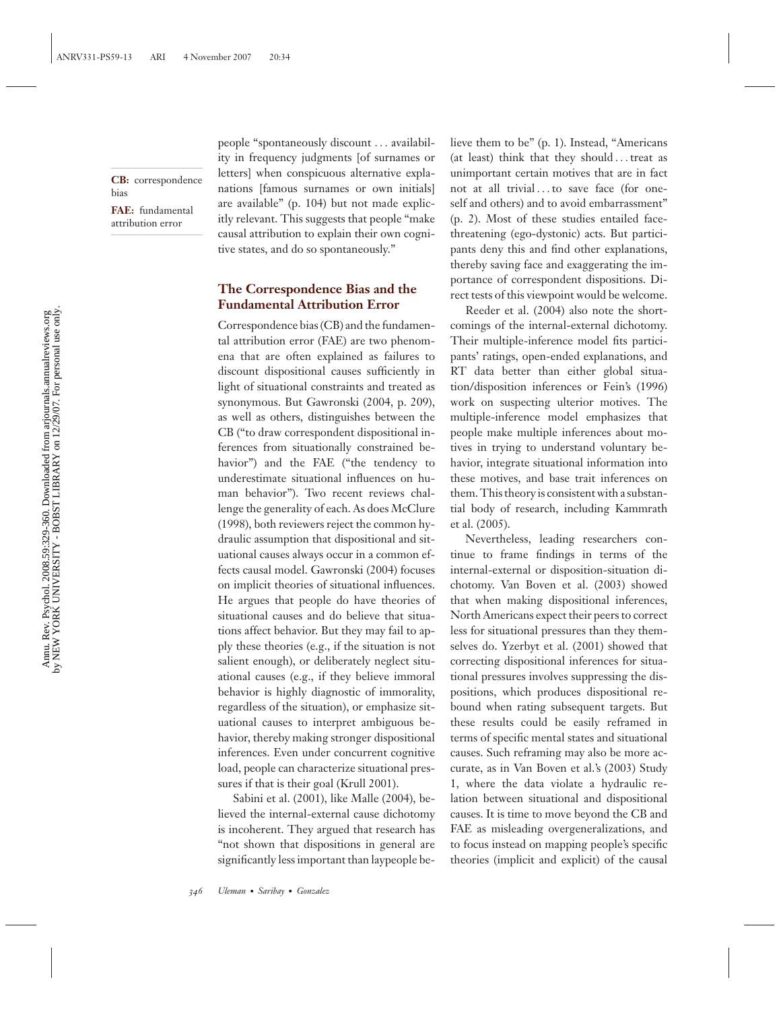**CB:** correspondence bias

**FAE:** fundamental attribution error

people "spontaneously discount ... availability in frequency judgments [of surnames or letters] when conspicuous alternative explanations [famous surnames or own initials] are available" (p. 104) but not made explicitly relevant. This suggests that people "make causal attribution to explain their own cognitive states, and do so spontaneously."

# **The Correspondence Bias and the Fundamental Attribution Error**

Correspondence bias (CB) and the fundamental attribution error (FAE) are two phenomena that are often explained as failures to discount dispositional causes sufficiently in light of situational constraints and treated as synonymous. But Gawronski (2004, p. 209), as well as others, distinguishes between the CB ("to draw correspondent dispositional inferences from situationally constrained behavior") and the FAE ("the tendency to underestimate situational influences on human behavior"). Two recent reviews challenge the generality of each. As does McClure (1998), both reviewers reject the common hydraulic assumption that dispositional and situational causes always occur in a common effects causal model. Gawronski (2004) focuses on implicit theories of situational influences. He argues that people do have theories of situational causes and do believe that situations affect behavior. But they may fail to apply these theories (e.g., if the situation is not salient enough), or deliberately neglect situational causes (e.g., if they believe immoral behavior is highly diagnostic of immorality, regardless of the situation), or emphasize situational causes to interpret ambiguous behavior, thereby making stronger dispositional inferences. Even under concurrent cognitive load, people can characterize situational pressures if that is their goal (Krull 2001).

Sabini et al. (2001), like Malle (2004), believed the internal-external cause dichotomy is incoherent. They argued that research has "not shown that dispositions in general are significantly less important than laypeople believe them to be" (p. 1). Instead, "Americans (at least) think that they should ... treat as unimportant certain motives that are in fact not at all trivial ... to save face (for oneself and others) and to avoid embarrassment" (p. 2). Most of these studies entailed facethreatening (ego-dystonic) acts. But participants deny this and find other explanations, thereby saving face and exaggerating the importance of correspondent dispositions. Direct tests of this viewpoint would be welcome.

Reeder et al. (2004) also note the shortcomings of the internal-external dichotomy. Their multiple-inference model fits participants' ratings, open-ended explanations, and RT data better than either global situation/disposition inferences or Fein's (1996) work on suspecting ulterior motives. The multiple-inference model emphasizes that people make multiple inferences about motives in trying to understand voluntary behavior, integrate situational information into these motives, and base trait inferences on them. This theory is consistent with a substantial body of research, including Kammrath et al. (2005).

Nevertheless, leading researchers continue to frame findings in terms of the internal-external or disposition-situation dichotomy. Van Boven et al. (2003) showed that when making dispositional inferences, North Americans expect their peers to correct less for situational pressures than they themselves do. Yzerbyt et al. (2001) showed that correcting dispositional inferences for situational pressures involves suppressing the dispositions, which produces dispositional rebound when rating subsequent targets. But these results could be easily reframed in terms of specific mental states and situational causes. Such reframing may also be more accurate, as in Van Boven et al.'s (2003) Study 1, where the data violate a hydraulic relation between situational and dispositional causes. It is time to move beyond the CB and FAE as misleading overgeneralizations, and to focus instead on mapping people's specific theories (implicit and explicit) of the causal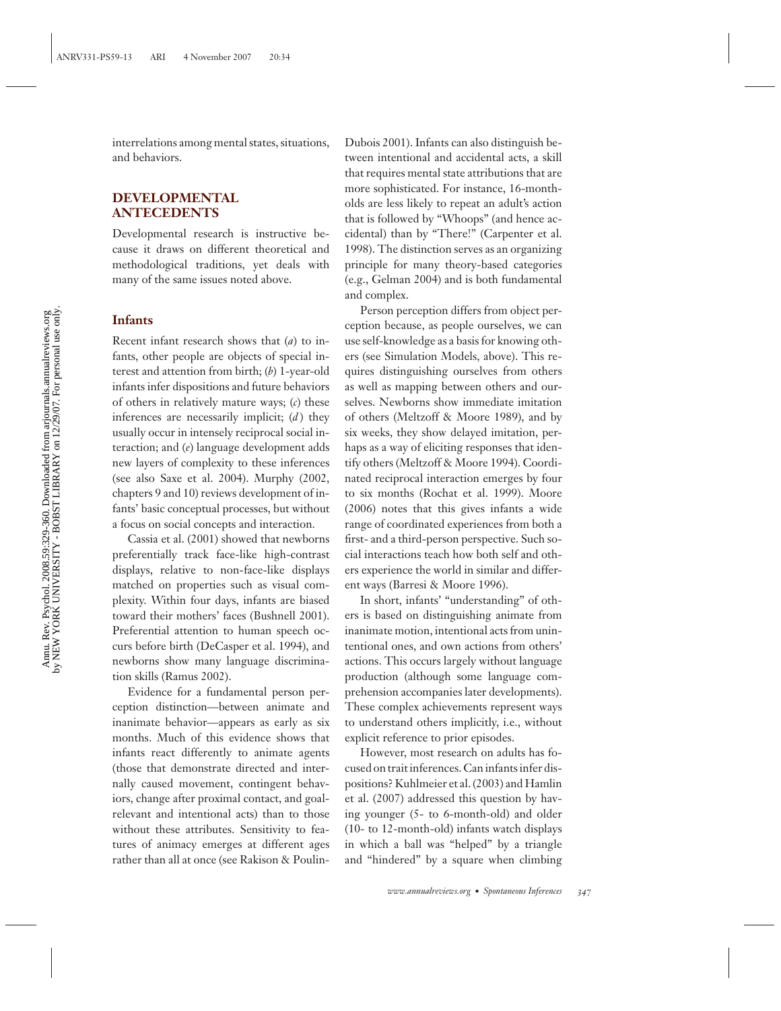interrelations among mental states, situations, and behaviors.

# **DEVELOPMENTAL ANTECEDENTS**

Developmental research is instructive because it draws on different theoretical and methodological traditions, yet deals with many of the same issues noted above.

## **Infants**

Recent infant research shows that (*a*) to infants, other people are objects of special interest and attention from birth; (*b*) 1-year-old infants infer dispositions and future behaviors of others in relatively mature ways; (*c*) these inferences are necessarily implicit;  $(d)$  they usually occur in intensely reciprocal social interaction; and (*e*) language development adds new layers of complexity to these inferences (see also Saxe et al. 2004). Murphy (2002, chapters 9 and 10) reviews development of infants' basic conceptual processes, but without a focus on social concepts and interaction.

Cassia et al. (2001) showed that newborns preferentially track face-like high-contrast displays, relative to non-face-like displays matched on properties such as visual complexity. Within four days, infants are biased toward their mothers' faces (Bushnell 2001). Preferential attention to human speech occurs before birth (DeCasper et al. 1994), and newborns show many language discrimination skills (Ramus 2002).

Evidence for a fundamental person perception distinction—between animate and inanimate behavior—appears as early as six months. Much of this evidence shows that infants react differently to animate agents (those that demonstrate directed and internally caused movement, contingent behaviors, change after proximal contact, and goalrelevant and intentional acts) than to those without these attributes. Sensitivity to features of animacy emerges at different ages rather than all at once (see Rakison & PoulinDubois 2001). Infants can also distinguish between intentional and accidental acts, a skill that requires mental state attributions that are more sophisticated. For instance, 16-montholds are less likely to repeat an adult's action that is followed by "Whoops" (and hence accidental) than by "There!" (Carpenter et al. 1998). The distinction serves as an organizing principle for many theory-based categories (e.g., Gelman 2004) and is both fundamental and complex.

Person perception differs from object perception because, as people ourselves, we can use self-knowledge as a basis for knowing others (see Simulation Models, above). This requires distinguishing ourselves from others as well as mapping between others and ourselves. Newborns show immediate imitation of others (Meltzoff & Moore 1989), and by six weeks, they show delayed imitation, perhaps as a way of eliciting responses that identify others (Meltzoff & Moore 1994). Coordinated reciprocal interaction emerges by four to six months (Rochat et al. 1999). Moore (2006) notes that this gives infants a wide range of coordinated experiences from both a first- and a third-person perspective. Such social interactions teach how both self and others experience the world in similar and different ways (Barresi & Moore 1996).

In short, infants' "understanding" of others is based on distinguishing animate from inanimate motion, intentional acts from unintentional ones, and own actions from others' actions. This occurs largely without language production (although some language comprehension accompanies later developments). These complex achievements represent ways to understand others implicitly, i.e., without explicit reference to prior episodes.

However, most research on adults has focused on trait inferences. Can infants infer dispositions? Kuhlmeier et al. (2003) and Hamlin et al. (2007) addressed this question by having younger (5- to 6-month-old) and older (10- to 12-month-old) infants watch displays in which a ball was "helped" by a triangle and "hindered" by a square when climbing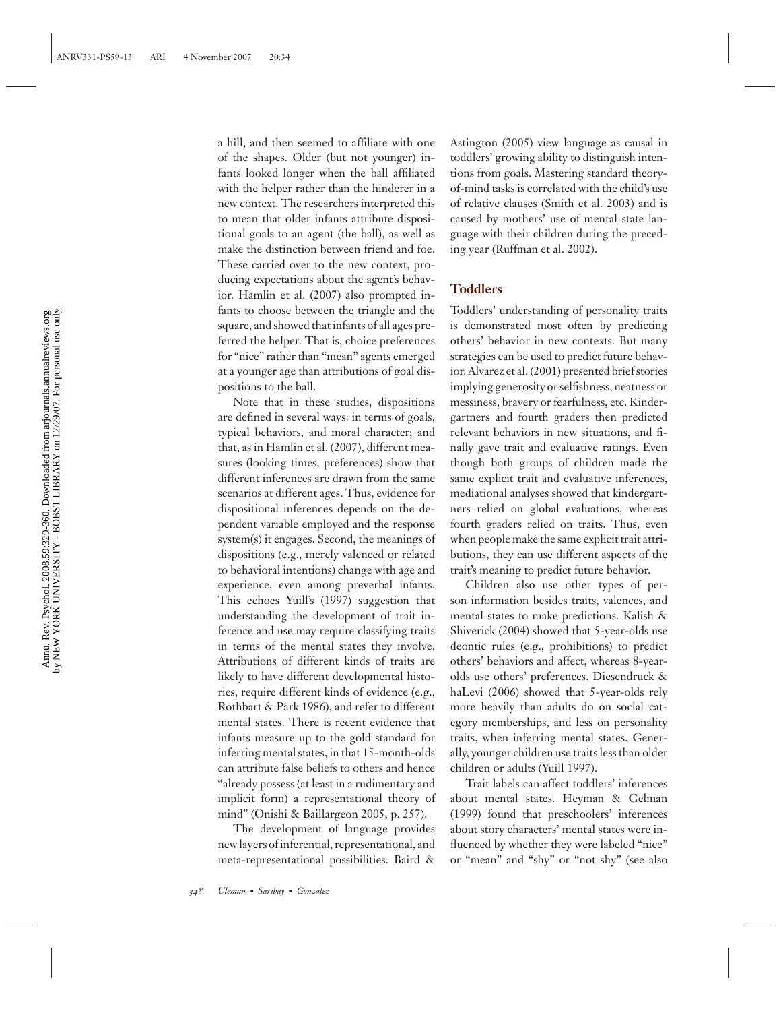a hill, and then seemed to affiliate with one of the shapes. Older (but not younger) infants looked longer when the ball affiliated with the helper rather than the hinderer in a new context. The researchers interpreted this to mean that older infants attribute dispositional goals to an agent (the ball), as well as make the distinction between friend and foe. These carried over to the new context, producing expectations about the agent's behavior. Hamlin et al. (2007) also prompted infants to choose between the triangle and the square, and showed that infants of all ages preferred the helper. That is, choice preferences for "nice" rather than "mean" agents emerged at a younger age than attributions of goal dispositions to the ball.

Note that in these studies, dispositions are defined in several ways: in terms of goals, typical behaviors, and moral character; and that, as in Hamlin et al. (2007), different measures (looking times, preferences) show that different inferences are drawn from the same scenarios at different ages. Thus, evidence for dispositional inferences depends on the dependent variable employed and the response system(s) it engages. Second, the meanings of dispositions (e.g., merely valenced or related to behavioral intentions) change with age and experience, even among preverbal infants. This echoes Yuill's (1997) suggestion that understanding the development of trait inference and use may require classifying traits in terms of the mental states they involve. Attributions of different kinds of traits are likely to have different developmental histories, require different kinds of evidence (e.g., Rothbart & Park 1986), and refer to different mental states. There is recent evidence that infants measure up to the gold standard for inferring mental states, in that 15-month-olds can attribute false beliefs to others and hence "already possess (at least in a rudimentary and implicit form) a representational theory of mind" (Onishi & Baillargeon 2005, p. 257).

The development of language provides new layers of inferential, representational, and meta-representational possibilities. Baird &

Astington (2005) view language as causal in toddlers' growing ability to distinguish intentions from goals. Mastering standard theoryof-mind tasks is correlated with the child's use of relative clauses (Smith et al. 2003) and is caused by mothers' use of mental state language with their children during the preceding year (Ruffman et al. 2002).

## **Toddlers**

Toddlers' understanding of personality traits is demonstrated most often by predicting others' behavior in new contexts. But many strategies can be used to predict future behavior. Alvarez et al. (2001) presented brief stories implying generosity or selfishness, neatness or messiness, bravery or fearfulness, etc. Kindergartners and fourth graders then predicted relevant behaviors in new situations, and finally gave trait and evaluative ratings. Even though both groups of children made the same explicit trait and evaluative inferences, mediational analyses showed that kindergartners relied on global evaluations, whereas fourth graders relied on traits. Thus, even when people make the same explicit trait attributions, they can use different aspects of the trait's meaning to predict future behavior.

Children also use other types of person information besides traits, valences, and mental states to make predictions. Kalish & Shiverick (2004) showed that 5-year-olds use deontic rules (e.g., prohibitions) to predict others' behaviors and affect, whereas 8-yearolds use others' preferences. Diesendruck & haLevi (2006) showed that 5-year-olds rely more heavily than adults do on social category memberships, and less on personality traits, when inferring mental states. Generally, younger children use traits less than older children or adults (Yuill 1997).

Trait labels can affect toddlers' inferences about mental states. Heyman & Gelman (1999) found that preschoolers' inferences about story characters' mental states were influenced by whether they were labeled "nice" or "mean" and "shy" or "not shy" (see also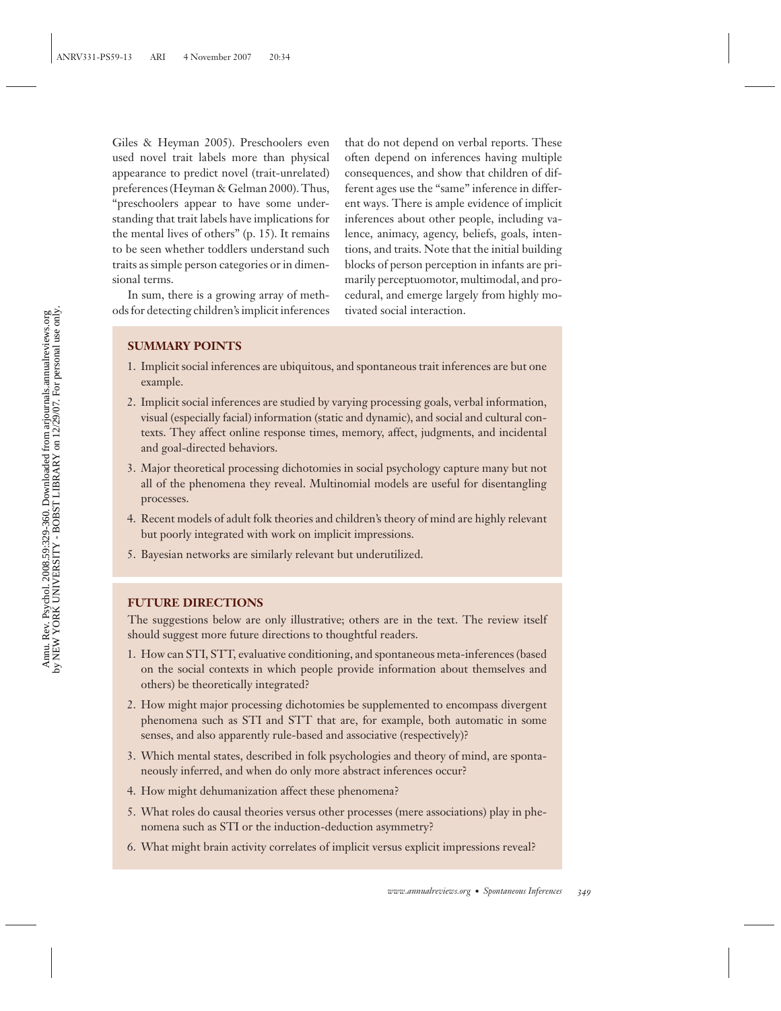Giles & Heyman 2005). Preschoolers even used novel trait labels more than physical appearance to predict novel (trait-unrelated) preferences (Heyman & Gelman 2000). Thus, "preschoolers appear to have some understanding that trait labels have implications for the mental lives of others" (p. 15). It remains to be seen whether toddlers understand such traits as simple person categories or in dimensional terms.

In sum, there is a growing array of methods for detecting children's implicit inferences that do not depend on verbal reports. These often depend on inferences having multiple consequences, and show that children of different ages use the "same" inference in different ways. There is ample evidence of implicit inferences about other people, including valence, animacy, agency, beliefs, goals, intentions, and traits. Note that the initial building blocks of person perception in infants are primarily perceptuomotor, multimodal, and procedural, and emerge largely from highly motivated social interaction.

# **SUMMARY POINTS**

- 1. Implicit social inferences are ubiquitous, and spontaneous trait inferences are but one example.
- 2. Implicit social inferences are studied by varying processing goals, verbal information, visual (especially facial) information (static and dynamic), and social and cultural contexts. They affect online response times, memory, affect, judgments, and incidental and goal-directed behaviors.
- 3. Major theoretical processing dichotomies in social psychology capture many but not all of the phenomena they reveal. Multinomial models are useful for disentangling processes.
- 4. Recent models of adult folk theories and children's theory of mind are highly relevant but poorly integrated with work on implicit impressions.
- 5. Bayesian networks are similarly relevant but underutilized.

## **FUTURE DIRECTIONS**

The suggestions below are only illustrative; others are in the text. The review itself should suggest more future directions to thoughtful readers.

- 1. How can STI, STT, evaluative conditioning, and spontaneous meta-inferences (based on the social contexts in which people provide information about themselves and others) be theoretically integrated?
- 2. How might major processing dichotomies be supplemented to encompass divergent phenomena such as STI and STT that are, for example, both automatic in some senses, and also apparently rule-based and associative (respectively)?
- 3. Which mental states, described in folk psychologies and theory of mind, are spontaneously inferred, and when do only more abstract inferences occur?
- 4. How might dehumanization affect these phenomena?
- 5. What roles do causal theories versus other processes (mere associations) play in phenomena such as STI or the induction-deduction asymmetry?
- 6. What might brain activity correlates of implicit versus explicit impressions reveal?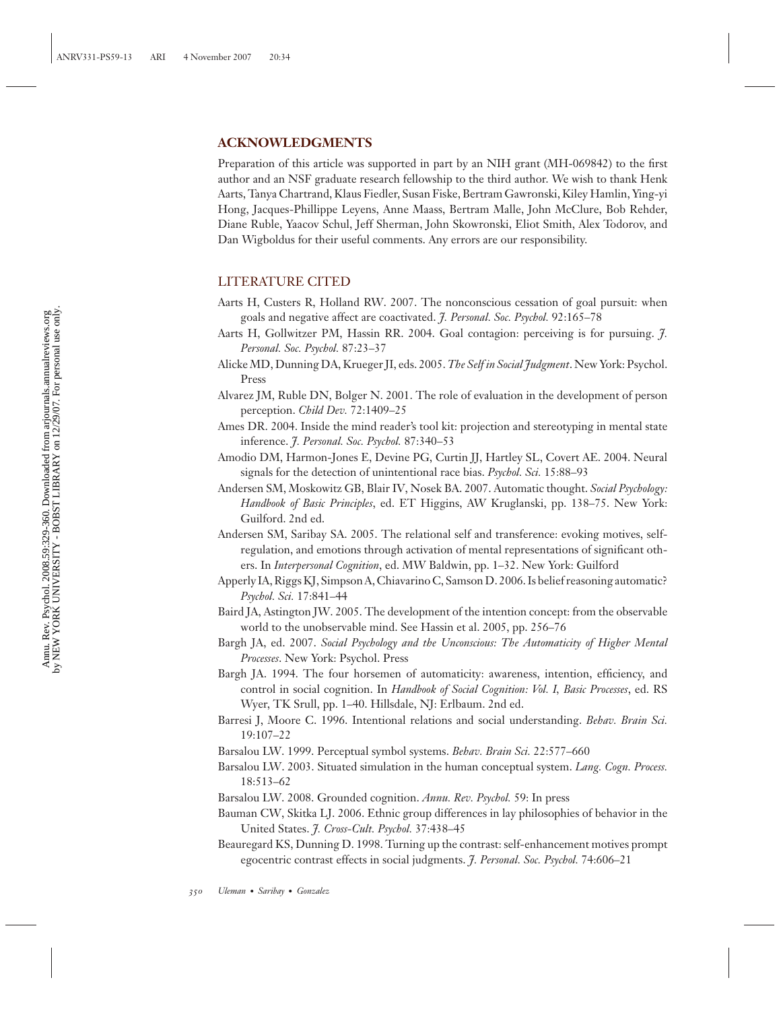## **ACKNOWLEDGMENTS**

Preparation of this article was supported in part by an NIH grant (MH-069842) to the first author and an NSF graduate research fellowship to the third author. We wish to thank Henk Aarts, Tanya Chartrand, Klaus Fiedler, Susan Fiske, Bertram Gawronski, Kiley Hamlin, Ying-yi Hong, Jacques-Phillippe Leyens, Anne Maass, Bertram Malle, John McClure, Bob Rehder, Diane Ruble, Yaacov Schul, Jeff Sherman, John Skowronski, Eliot Smith, Alex Todorov, and Dan Wigboldus for their useful comments. Any errors are our responsibility.

## LITERATURE CITED

- Aarts H, Custers R, Holland RW. 2007. The nonconscious cessation of goal pursuit: when goals and negative affect are coactivated. *J. Personal. Soc. Psychol.* 92:165–78
- Aarts H, Gollwitzer PM, Hassin RR. 2004. Goal contagion: perceiving is for pursuing. *J. Personal. Soc. Psychol.* 87:23–37
- Alicke MD, Dunning DA, Krueger JI, eds. 2005. *The Self in Social Judgment*. New York: Psychol. Press
- Alvarez JM, Ruble DN, Bolger N. 2001. The role of evaluation in the development of person perception. *Child Dev.* 72:1409–25
- Ames DR. 2004. Inside the mind reader's tool kit: projection and stereotyping in mental state inference. *J. Personal. Soc. Psychol.* 87:340–53
- Amodio DM, Harmon-Jones E, Devine PG, Curtin JJ, Hartley SL, Covert AE. 2004. Neural signals for the detection of unintentional race bias. *Psychol. Sci.* 15:88–93
- Andersen SM, Moskowitz GB, Blair IV, Nosek BA. 2007. Automatic thought. *Social Psychology: Handbook of Basic Principles*, ed. ET Higgins, AW Kruglanski, pp. 138–75. New York: Guilford. 2nd ed.
- Andersen SM, Saribay SA. 2005. The relational self and transference: evoking motives, selfregulation, and emotions through activation of mental representations of significant others. In *Interpersonal Cognition*, ed. MW Baldwin, pp. 1–32. New York: Guilford
- Apperly IA, Riggs KJ, Simpson A, Chiavarino C, Samson D. 2006. Is belief reasoning automatic? *Psychol. Sci.* 17:841–44
- Baird JA, Astington JW. 2005. The development of the intention concept: from the observable world to the unobservable mind. See Hassin et al. 2005, pp. 256–76
- Bargh JA, ed. 2007. *Social Psychology and the Unconscious: The Automaticity of Higher Mental Processes*. New York: Psychol. Press
- Bargh JA. 1994. The four horsemen of automaticity: awareness, intention, efficiency, and control in social cognition. In *Handbook of Social Cognition: Vol. I, Basic Processes*, ed. RS Wyer, TK Srull, pp. 1–40. Hillsdale, NJ: Erlbaum. 2nd ed.
- Barresi J, Moore C. 1996. Intentional relations and social understanding. *Behav. Brain Sci.* 19:107–22
- Barsalou LW. 1999. Perceptual symbol systems. *Behav. Brain Sci.* 22:577–660
- Barsalou LW. 2003. Situated simulation in the human conceptual system. *Lang. Cogn. Process.* 18:513–62
- Barsalou LW. 2008. Grounded cognition. *Annu. Rev. Psychol.* 59: In press
- Bauman CW, Skitka LJ. 2006. Ethnic group differences in lay philosophies of behavior in the United States. *J. Cross-Cult. Psychol.* 37:438–45
- Beauregard KS, Dunning D. 1998. Turning up the contrast: self-enhancement motives prompt egocentric contrast effects in social judgments. *J. Personal. Soc. Psychol.* 74:606–21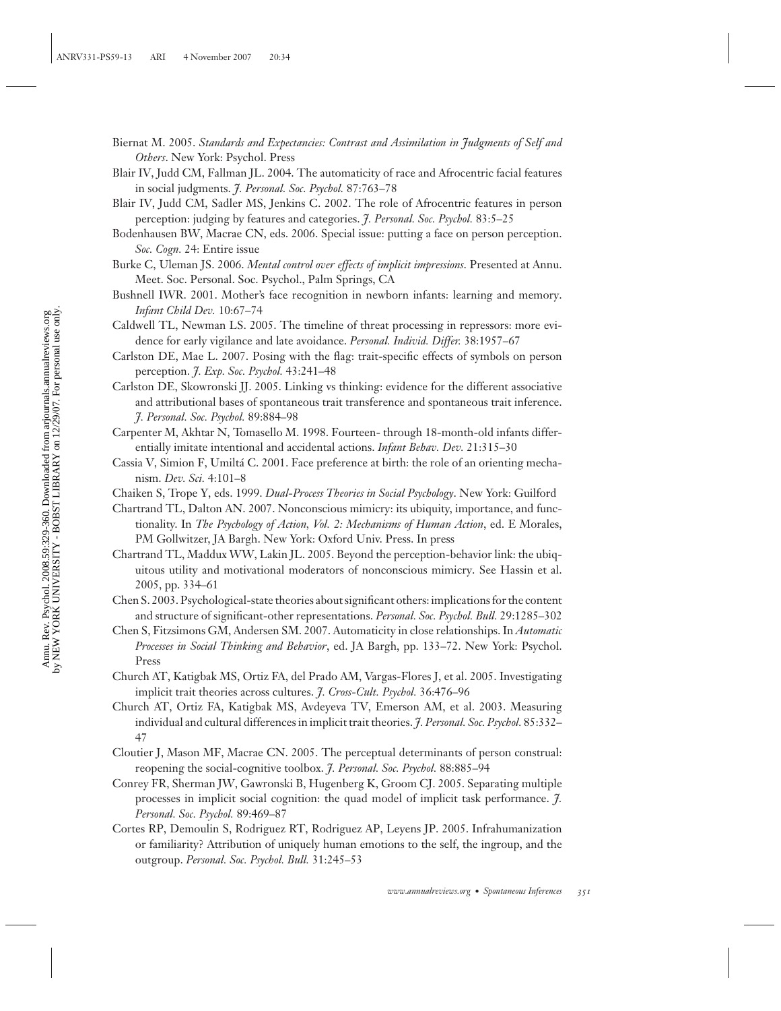- Biernat M. 2005. *Standards and Expectancies: Contrast and Assimilation in Judgments of Self and Others*. New York: Psychol. Press
- Blair IV, Judd CM, Fallman JL. 2004. The automaticity of race and Afrocentric facial features in social judgments. *J. Personal. Soc. Psychol.* 87:763–78
- Blair IV, Judd CM, Sadler MS, Jenkins C. 2002. The role of Afrocentric features in person perception: judging by features and categories. *J. Personal. Soc. Psychol.* 83:5–25
- Bodenhausen BW, Macrae CN, eds. 2006. Special issue: putting a face on person perception. *Soc. Cogn.* 24: Entire issue
- Burke C, Uleman JS. 2006. *Mental control over effects of implicit impressions*. Presented at Annu. Meet. Soc. Personal. Soc. Psychol., Palm Springs, CA
- Bushnell IWR. 2001. Mother's face recognition in newborn infants: learning and memory. *Infant Child Dev.* 10:67–74
- Caldwell TL, Newman LS. 2005. The timeline of threat processing in repressors: more evidence for early vigilance and late avoidance. *Personal. Individ. Differ.* 38:1957–67
- Carlston DE, Mae L. 2007. Posing with the flag: trait-specific effects of symbols on person perception. *J. Exp. Soc. Psychol.* 43:241–48
- Carlston DE, Skowronski JJ. 2005. Linking vs thinking: evidence for the different associative and attributional bases of spontaneous trait transference and spontaneous trait inference. *J. Personal. Soc. Psychol.* 89:884–98
- Carpenter M, Akhtar N, Tomasello M. 1998. Fourteen- through 18-month-old infants differentially imitate intentional and accidental actions. *Infant Behav. Dev.* 21:315–30
- Cassia V, Simion F, Umilta C. 2001. Face preference at birth: the role of an orienting mecha- ´ nism. *Dev. Sci.* 4:101–8
- Chaiken S, Trope Y, eds. 1999. *Dual-Process Theories in Social Psychology*. New York: Guilford
- Chartrand TL, Dalton AN. 2007. Nonconscious mimicry: its ubiquity, importance, and functionality. In *The Psychology of Action, Vol. 2: Mechanisms of Human Action*, ed. E Morales, PM Gollwitzer, JA Bargh. New York: Oxford Univ. Press. In press
- Chartrand TL, Maddux WW, Lakin JL. 2005. Beyond the perception-behavior link: the ubiquitous utility and motivational moderators of nonconscious mimicry. See Hassin et al. 2005, pp. 334–61
- Chen S. 2003. Psychological-state theories about significant others: implications for the content and structure of significant-other representations. *Personal. Soc. Psychol. Bull.* 29:1285–302
- Chen S, Fitzsimons GM, Andersen SM. 2007. Automaticity in close relationships. In *Automatic Processes in Social Thinking and Behavior*, ed. JA Bargh, pp. 133–72. New York: Psychol. Press
- Church AT, Katigbak MS, Ortiz FA, del Prado AM, Vargas-Flores J, et al. 2005. Investigating implicit trait theories across cultures. *J. Cross-Cult. Psychol.* 36:476–96
- Church AT, Ortiz FA, Katigbak MS, Avdeyeva TV, Emerson AM, et al. 2003. Measuring individual and cultural differences in implicit trait theories. *J. Personal. Soc. Psychol.* 85:332– 47
- Cloutier J, Mason MF, Macrae CN. 2005. The perceptual determinants of person construal: reopening the social-cognitive toolbox. *J. Personal. Soc. Psychol.* 88:885–94
- Conrey FR, Sherman JW, Gawronski B, Hugenberg K, Groom CJ. 2005. Separating multiple processes in implicit social cognition: the quad model of implicit task performance. *J. Personal. Soc. Psychol.* 89:469–87
- Cortes RP, Demoulin S, Rodriguez RT, Rodriguez AP, Leyens JP. 2005. Infrahumanization or familiarity? Attribution of uniquely human emotions to the self, the ingroup, and the outgroup. *Personal. Soc. Psychol. Bull.* 31:245–53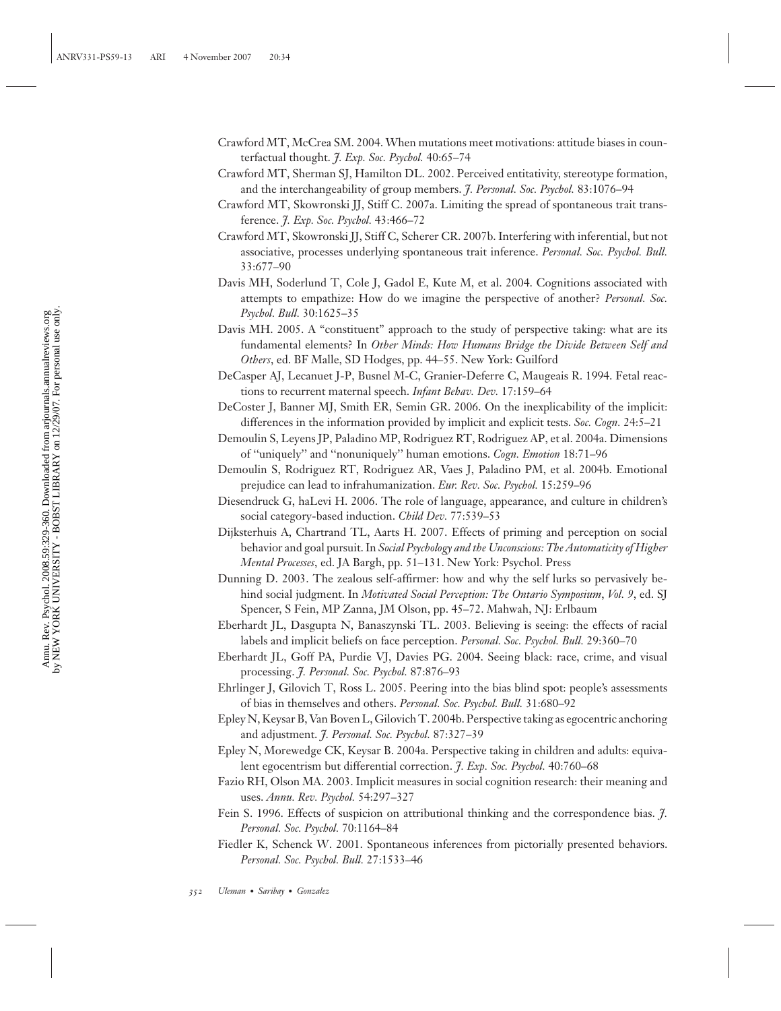- Crawford MT, McCrea SM. 2004. When mutations meet motivations: attitude biases in counterfactual thought. *J. Exp. Soc. Psychol.* 40:65–74
- Crawford MT, Sherman SJ, Hamilton DL. 2002. Perceived entitativity, stereotype formation, and the interchangeability of group members. *J. Personal. Soc. Psychol.* 83:1076–94
- Crawford MT, Skowronski JJ, Stiff C. 2007a. Limiting the spread of spontaneous trait transference. *J. Exp. Soc. Psychol.* 43:466–72
- Crawford MT, Skowronski JJ, Stiff C, Scherer CR. 2007b. Interfering with inferential, but not associative, processes underlying spontaneous trait inference. *Personal. Soc. Psychol. Bull.* 33:677–90
- Davis MH, Soderlund T, Cole J, Gadol E, Kute M, et al. 2004. Cognitions associated with attempts to empathize: How do we imagine the perspective of another? *Personal. Soc. Psychol. Bull.* 30:1625–35
- Davis MH. 2005. A "constituent" approach to the study of perspective taking: what are its fundamental elements? In *Other Minds: How Humans Bridge the Divide Between Self and Others*, ed. BF Malle, SD Hodges, pp. 44–55. New York: Guilford
- DeCasper AJ, Lecanuet J-P, Busnel M-C, Granier-Deferre C, Maugeais R. 1994. Fetal reactions to recurrent maternal speech. *Infant Behav. Dev.* 17:159–64
- DeCoster J, Banner MJ, Smith ER, Semin GR. 2006. On the inexplicability of the implicit: differences in the information provided by implicit and explicit tests. *Soc. Cogn.* 24:5–21
- Demoulin S, Leyens JP, Paladino MP, Rodriguez RT, Rodriguez AP, et al. 2004a. Dimensions of ''uniquely'' and ''nonuniquely'' human emotions. *Cogn. Emotion* 18:71–96
- Demoulin S, Rodriguez RT, Rodriguez AR, Vaes J, Paladino PM, et al. 2004b. Emotional prejudice can lead to infrahumanization. *Eur. Rev. Soc. Psychol.* 15:259–96
- Diesendruck G, haLevi H. 2006. The role of language, appearance, and culture in children's social category-based induction. *Child Dev.* 77:539–53
- Dijksterhuis A, Chartrand TL, Aarts H. 2007. Effects of priming and perception on social behavior and goal pursuit. In *Social Psychology and the Unconscious: The Automaticity of Higher Mental Processes*, ed. JA Bargh, pp. 51–131. New York: Psychol. Press
- Dunning D. 2003. The zealous self-affirmer: how and why the self lurks so pervasively behind social judgment. In *Motivated Social Perception: The Ontario Symposium*, *Vol. 9*, ed. SJ Spencer, S Fein, MP Zanna, JM Olson, pp. 45–72. Mahwah, NJ: Erlbaum
- Eberhardt JL, Dasgupta N, Banaszynski TL. 2003. Believing is seeing: the effects of racial labels and implicit beliefs on face perception. *Personal. Soc. Psychol. Bull.* 29:360–70
- Eberhardt JL, Goff PA, Purdie VJ, Davies PG. 2004. Seeing black: race, crime, and visual processing. *J. Personal. Soc. Psychol.* 87:876–93
- Ehrlinger J, Gilovich T, Ross L. 2005. Peering into the bias blind spot: people's assessments of bias in themselves and others. *Personal. Soc. Psychol. Bull.* 31:680–92
- Epley N, Keysar B, Van Boven L, Gilovich T. 2004b. Perspective taking as egocentric anchoring and adjustment. *J. Personal. Soc. Psychol.* 87:327–39
- Epley N, Morewedge CK, Keysar B. 2004a. Perspective taking in children and adults: equivalent egocentrism but differential correction. *J. Exp. Soc. Psychol.* 40:760–68
- Fazio RH, Olson MA. 2003. Implicit measures in social cognition research: their meaning and uses. *Annu. Rev. Psychol.* 54:297–327
- Fein S. 1996. Effects of suspicion on attributional thinking and the correspondence bias. *J. Personal. Soc. Psychol.* 70:1164–84
- Fiedler K, Schenck W. 2001. Spontaneous inferences from pictorially presented behaviors. *Personal. Soc. Psychol. Bull.* 27:1533–46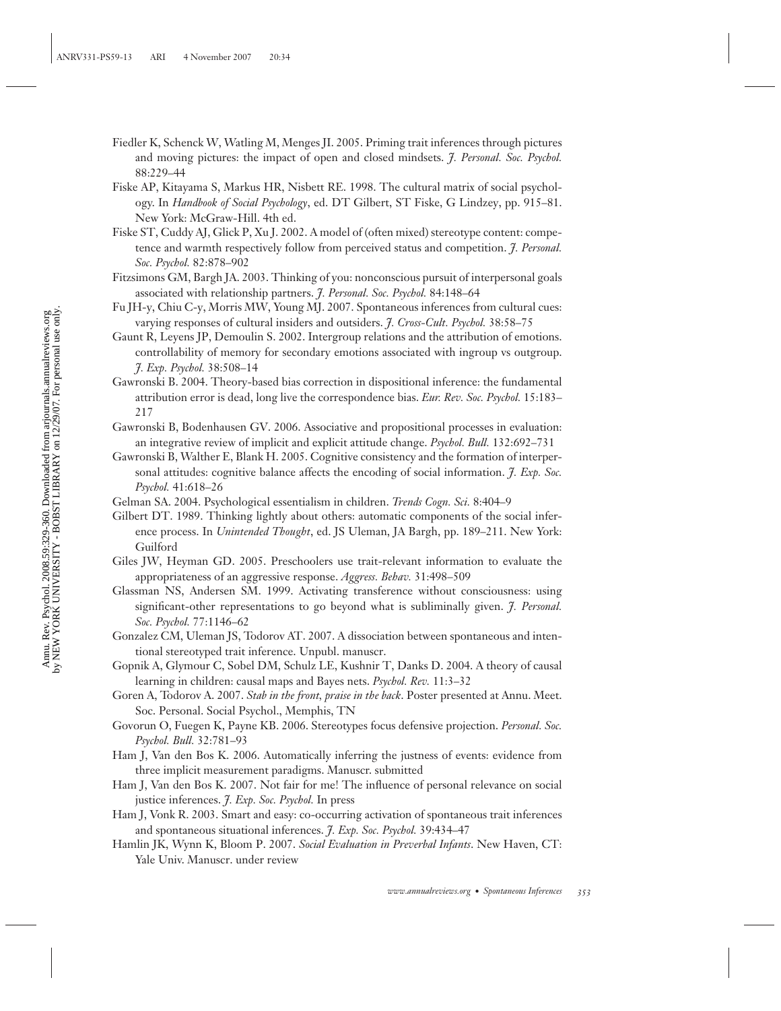- Fiedler K, Schenck W, Watling M, Menges JI. 2005. Priming trait inferences through pictures and moving pictures: the impact of open and closed mindsets. *J. Personal. Soc. Psychol.* 88:229–44
- Fiske AP, Kitayama S, Markus HR, Nisbett RE. 1998. The cultural matrix of social psychology. In *Handbook of Social Psychology*, ed. DT Gilbert, ST Fiske, G Lindzey, pp. 915–81. New York: McGraw-Hill. 4th ed.
- Fiske ST, Cuddy AJ, Glick P, Xu J. 2002. A model of (often mixed) stereotype content: competence and warmth respectively follow from perceived status and competition. *J. Personal. Soc. Psychol.* 82:878–902
- Fitzsimons GM, Bargh JA. 2003. Thinking of you: nonconscious pursuit of interpersonal goals associated with relationship partners. *J. Personal. Soc. Psychol.* 84:148–64
- Fu JH-y, Chiu C-y, Morris MW, Young MJ. 2007. Spontaneous inferences from cultural cues: varying responses of cultural insiders and outsiders. *J. Cross-Cult. Psychol.* 38:58–75
- Gaunt R, Leyens JP, Demoulin S. 2002. Intergroup relations and the attribution of emotions. controllability of memory for secondary emotions associated with ingroup vs outgroup. *J. Exp. Psychol.* 38:508–14
- Gawronski B. 2004. Theory-based bias correction in dispositional inference: the fundamental attribution error is dead, long live the correspondence bias. *Eur. Rev. Soc. Psychol.* 15:183– 217
- Gawronski B, Bodenhausen GV. 2006. Associative and propositional processes in evaluation: an integrative review of implicit and explicit attitude change. *Psychol. Bull.* 132:692–731
- Gawronski B, Walther E, Blank H. 2005. Cognitive consistency and the formation of interpersonal attitudes: cognitive balance affects the encoding of social information. *J. Exp. Soc. Psychol.* 41:618–26
- Gelman SA. 2004. Psychological essentialism in children. *Trends Cogn. Sci.* 8:404–9
- Gilbert DT. 1989. Thinking lightly about others: automatic components of the social inference process. In *Unintended Thought*, ed. JS Uleman, JA Bargh, pp. 189–211. New York: Guilford
- Giles JW, Heyman GD. 2005. Preschoolers use trait-relevant information to evaluate the appropriateness of an aggressive response. *Aggress. Behav.* 31:498–509
- Glassman NS, Andersen SM. 1999. Activating transference without consciousness: using significant-other representations to go beyond what is subliminally given. *J. Personal. Soc. Psychol.* 77:1146–62
- Gonzalez CM, Uleman JS, Todorov AT. 2007. A dissociation between spontaneous and intentional stereotyped trait inference. Unpubl. manuscr.
- Gopnik A, Glymour C, Sobel DM, Schulz LE, Kushnir T, Danks D. 2004. A theory of causal learning in children: causal maps and Bayes nets. *Psychol. Rev.* 11:3–32
- Goren A, Todorov A. 2007. *Stab in the front, praise in the back*. Poster presented at Annu. Meet. Soc. Personal. Social Psychol., Memphis, TN
- Govorun O, Fuegen K, Payne KB. 2006. Stereotypes focus defensive projection. *Personal. Soc. Psychol. Bull.* 32:781–93
- Ham J, Van den Bos K. 2006. Automatically inferring the justness of events: evidence from three implicit measurement paradigms. Manuscr. submitted
- Ham J, Van den Bos K. 2007. Not fair for me! The influence of personal relevance on social justice inferences. *J. Exp. Soc. Psychol.* In press
- Ham J, Vonk R. 2003. Smart and easy: co-occurring activation of spontaneous trait inferences and spontaneous situational inferences. *J. Exp. Soc. Psychol.* 39:434–47
- Hamlin JK, Wynn K, Bloom P. 2007. *Social Evaluation in Preverbal Infants*. New Haven, CT: Yale Univ. Manuscr. under review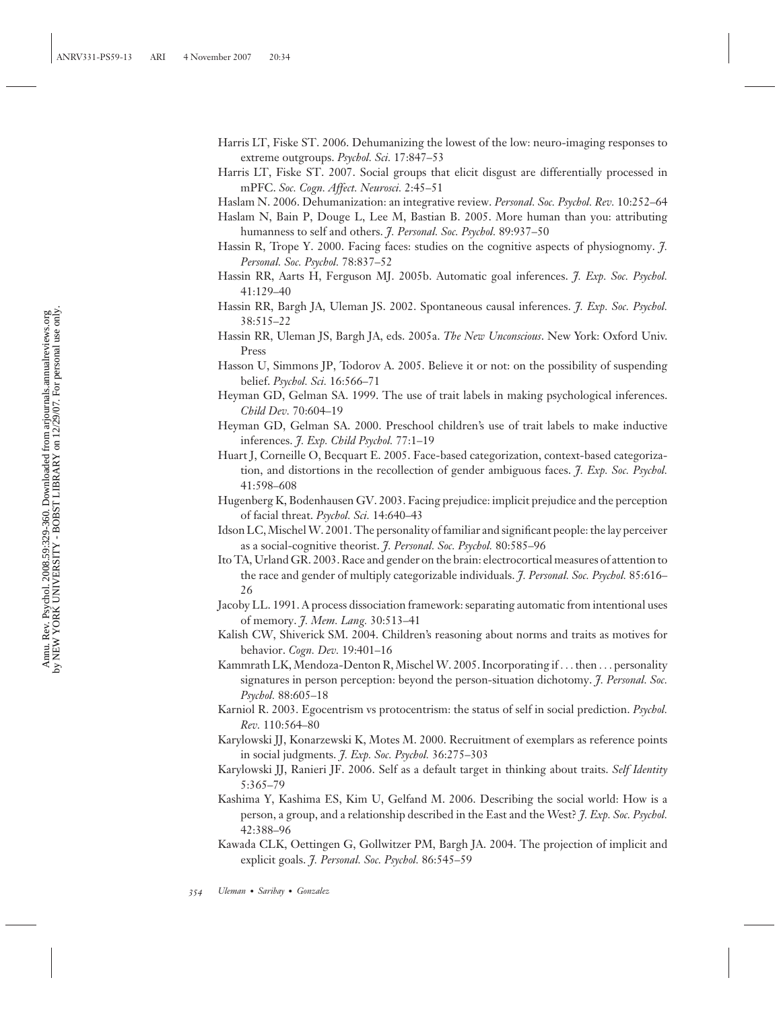- Harris LT, Fiske ST. 2006. Dehumanizing the lowest of the low: neuro-imaging responses to extreme outgroups. *Psychol. Sci.* 17:847–53
- Harris LT, Fiske ST. 2007. Social groups that elicit disgust are differentially processed in mPFC. *Soc. Cogn. Affect. Neurosci.* 2:45–51
- Haslam N. 2006. Dehumanization: an integrative review. *Personal. Soc. Psychol. Rev.* 10:252–64
- Haslam N, Bain P, Douge L, Lee M, Bastian B. 2005. More human than you: attributing humanness to self and others. *J. Personal. Soc. Psychol.* 89:937–50
- Hassin R, Trope Y. 2000. Facing faces: studies on the cognitive aspects of physiognomy. *J. Personal. Soc. Psychol.* 78:837–52
- Hassin RR, Aarts H, Ferguson MJ. 2005b. Automatic goal inferences. *J. Exp. Soc. Psychol.* 41:129–40
- Hassin RR, Bargh JA, Uleman JS. 2002. Spontaneous causal inferences. *J. Exp. Soc. Psychol.* 38:515–22
- Hassin RR, Uleman JS, Bargh JA, eds. 2005a. *The New Unconscious*. New York: Oxford Univ. Press
- Hasson U, Simmons JP, Todorov A. 2005. Believe it or not: on the possibility of suspending belief. *Psychol. Sci.* 16:566–71
- Heyman GD, Gelman SA. 1999. The use of trait labels in making psychological inferences. *Child Dev.* 70:604–19
- Heyman GD, Gelman SA. 2000. Preschool children's use of trait labels to make inductive inferences. *J. Exp. Child Psychol.* 77:1–19
- Huart J, Corneille O, Becquart E. 2005. Face-based categorization, context-based categorization, and distortions in the recollection of gender ambiguous faces. *J. Exp. Soc. Psychol.* 41:598–608
- Hugenberg K, Bodenhausen GV. 2003. Facing prejudice: implicit prejudice and the perception of facial threat. *Psychol. Sci.* 14:640–43
- Idson LC, Mischel W. 2001. The personality of familiar and significant people: the lay perceiver as a social-cognitive theorist. *J. Personal. Soc. Psychol.* 80:585–96
- Ito TA, Urland GR. 2003. Race and gender on the brain: electrocortical measures of attention to the race and gender of multiply categorizable individuals. *J. Personal. Soc. Psychol.* 85:616– 26
- Jacoby LL. 1991. A process dissociation framework: separating automatic from intentional uses of memory. *J. Mem. Lang.* 30:513–41
- Kalish CW, Shiverick SM. 2004. Children's reasoning about norms and traits as motives for behavior. *Cogn. Dev.* 19:401–16
- Kammrath LK, Mendoza-Denton R, Mischel W. 2005. Incorporating if ... then ... personality signatures in person perception: beyond the person-situation dichotomy. *J. Personal. Soc. Psychol.* 88:605–18
- Karniol R. 2003. Egocentrism vs protocentrism: the status of self in social prediction. *Psychol. Rev.* 110:564–80
- Karylowski JJ, Konarzewski K, Motes M. 2000. Recruitment of exemplars as reference points in social judgments. *J. Exp. Soc. Psychol.* 36:275–303
- Karylowski JJ, Ranieri JF. 2006. Self as a default target in thinking about traits. *Self Identity* 5:365–79
- Kashima Y, Kashima ES, Kim U, Gelfand M. 2006. Describing the social world: How is a person, a group, and a relationship described in the East and the West? *J. Exp. Soc. Psychol.* 42:388–96
- Kawada CLK, Oettingen G, Gollwitzer PM, Bargh JA. 2004. The projection of implicit and explicit goals. *J. Personal. Soc. Psychol.* 86:545–59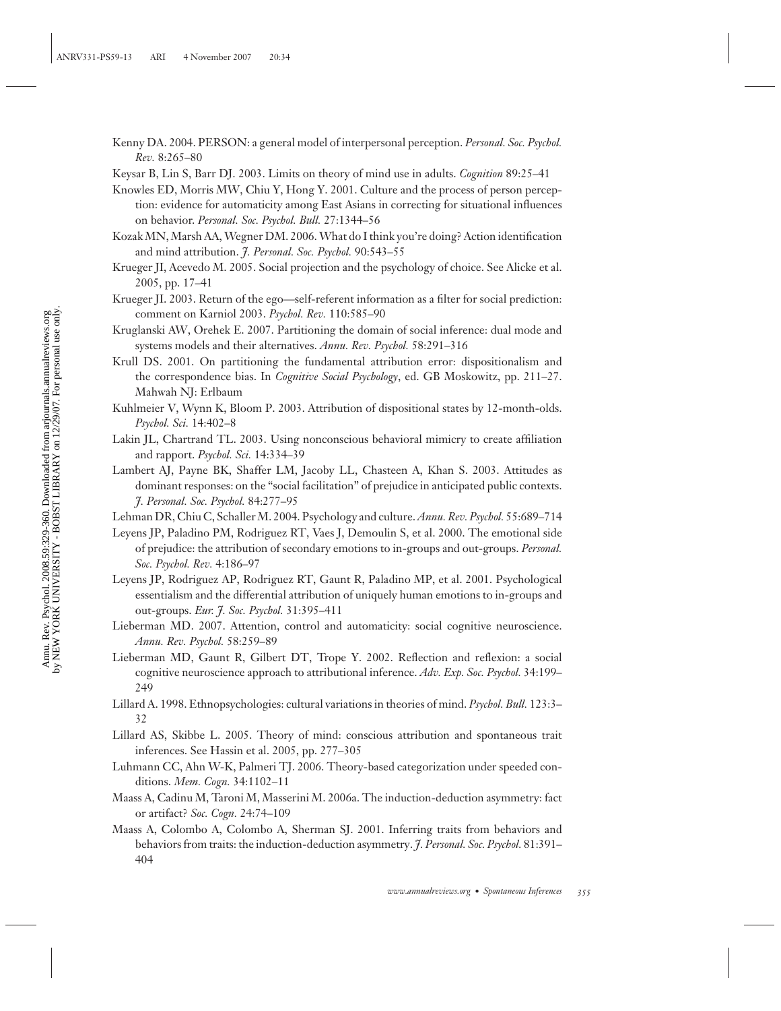- Kenny DA. 2004. PERSON: a general model of interpersonal perception. *Personal. Soc. Psychol. Rev.* 8:265–80
- Keysar B, Lin S, Barr DJ. 2003. Limits on theory of mind use in adults. *Cognition* 89:25–41
- Knowles ED, Morris MW, Chiu Y, Hong Y. 2001. Culture and the process of person perception: evidence for automaticity among East Asians in correcting for situational influences on behavior. *Personal. Soc. Psychol. Bull.* 27:1344–56
- Kozak MN, Marsh AA, Wegner DM. 2006. What do I think you're doing? Action identification and mind attribution. *J. Personal. Soc. Psychol.* 90:543–55
- Krueger JI, Acevedo M. 2005. Social projection and the psychology of choice. See Alicke et al. 2005, pp. 17–41
- Krueger JI. 2003. Return of the ego—self-referent information as a filter for social prediction: comment on Karniol 2003. *Psychol. Rev.* 110:585–90
- Kruglanski AW, Orehek E. 2007. Partitioning the domain of social inference: dual mode and systems models and their alternatives. *Annu. Rev. Psychol.* 58:291–316
- Krull DS. 2001. On partitioning the fundamental attribution error: dispositionalism and the correspondence bias. In *Cognitive Social Psychology*, ed. GB Moskowitz, pp. 211–27. Mahwah NJ: Erlbaum
- Kuhlmeier V, Wynn K, Bloom P. 2003. Attribution of dispositional states by 12-month-olds. *Psychol. Sci.* 14:402–8
- Lakin JL, Chartrand TL. 2003. Using nonconscious behavioral mimicry to create affiliation and rapport. *Psychol. Sci.* 14:334–39
- Lambert AJ, Payne BK, Shaffer LM, Jacoby LL, Chasteen A, Khan S. 2003. Attitudes as dominant responses: on the "social facilitation" of prejudice in anticipated public contexts. *J. Personal. Soc. Psychol.* 84:277–95
- Lehman DR, Chiu C, Schaller M. 2004. Psychology and culture.*Annu. Rev. Psychol.* 55:689–714
- Leyens JP, Paladino PM, Rodriguez RT, Vaes J, Demoulin S, et al. 2000. The emotional side of prejudice: the attribution of secondary emotions to in-groups and out-groups. *Personal. Soc. Psychol. Rev.* 4:186–97
- Leyens JP, Rodriguez AP, Rodriguez RT, Gaunt R, Paladino MP, et al. 2001. Psychological essentialism and the differential attribution of uniquely human emotions to in-groups and out-groups. *Eur. J. Soc. Psychol.* 31:395–411
- Lieberman MD. 2007. Attention, control and automaticity: social cognitive neuroscience. *Annu. Rev. Psychol.* 58:259–89
- Lieberman MD, Gaunt R, Gilbert DT, Trope Y. 2002. Reflection and reflexion: a social cognitive neuroscience approach to attributional inference. *Adv. Exp. Soc. Psychol.* 34:199– 249
- Lillard A. 1998. Ethnopsychologies: cultural variations in theories of mind. *Psychol. Bull.* 123:3– 32
- Lillard AS, Skibbe L. 2005. Theory of mind: conscious attribution and spontaneous trait inferences. See Hassin et al. 2005, pp. 277–305
- Luhmann CC, Ahn W-K, Palmeri TJ. 2006. Theory-based categorization under speeded conditions. *Mem. Cogn.* 34:1102–11
- Maass A, Cadinu M, Taroni M, Masserini M. 2006a. The induction-deduction asymmetry: fact or artifact? *Soc. Cogn.* 24:74–109
- Maass A, Colombo A, Colombo A, Sherman SJ. 2001. Inferring traits from behaviors and behaviors from traits: the induction-deduction asymmetry. *J. Personal. Soc. Psychol.* 81:391– 404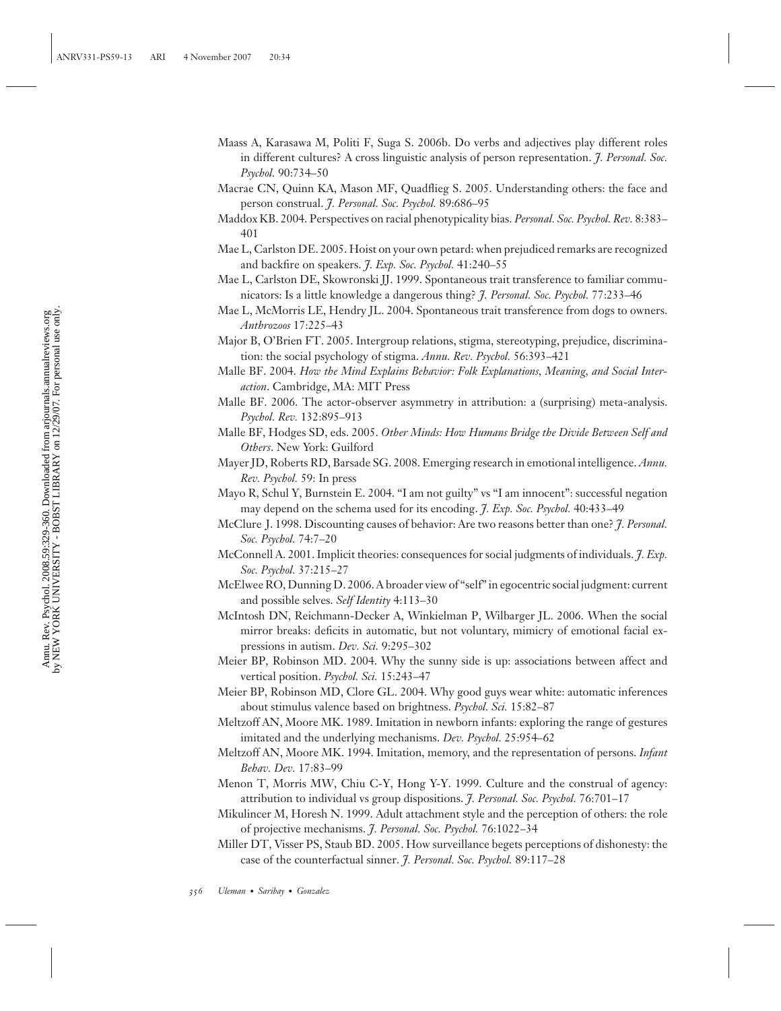- Maass A, Karasawa M, Politi F, Suga S. 2006b. Do verbs and adjectives play different roles in different cultures? A cross linguistic analysis of person representation. *J. Personal. Soc. Psychol.* 90:734–50
- Macrae CN, Quinn KA, Mason MF, Quadflieg S. 2005. Understanding others: the face and person construal. *J. Personal. Soc. Psychol.* 89:686–95
- Maddox KB. 2004. Perspectives on racial phenotypicality bias. *Personal. Soc. Psychol. Rev.* 8:383– 401
- Mae L, Carlston DE. 2005. Hoist on your own petard: when prejudiced remarks are recognized and backfire on speakers. *J. Exp. Soc. Psychol.* 41:240–55
- Mae L, Carlston DE, Skowronski JJ. 1999. Spontaneous trait transference to familiar communicators: Is a little knowledge a dangerous thing? *J. Personal. Soc. Psychol.* 77:233–46
- Mae L, McMorris LE, Hendry JL. 2004. Spontaneous trait transference from dogs to owners. *Anthrozoos* 17:225–43
- Major B, O'Brien FT. 2005. Intergroup relations, stigma, stereotyping, prejudice, discrimination: the social psychology of stigma. *Annu. Rev. Psychol.* 56:393–421
- Malle BF. 2004. *How the Mind Explains Behavior: Folk Explanations, Meaning, and Social Interaction*. Cambridge, MA: MIT Press
- Malle BF. 2006. The actor-observer asymmetry in attribution: a (surprising) meta-analysis. *Psychol. Rev.* 132:895–913
- Malle BF, Hodges SD, eds. 2005. *Other Minds: How Humans Bridge the Divide Between Self and Others*. New York: Guilford
- Mayer JD, Roberts RD, Barsade SG. 2008. Emerging research in emotional intelligence. *Annu. Rev. Psychol.* 59: In press
- Mayo R, Schul Y, Burnstein E. 2004. "I am not guilty" vs "I am innocent": successful negation may depend on the schema used for its encoding. *J. Exp. Soc. Psychol.* 40:433–49
- McClure J. 1998. Discounting causes of behavior: Are two reasons better than one? *J. Personal. Soc. Psychol.* 74:7–20
- McConnell A. 2001. Implicit theories: consequences for social judgments of individuals. *J. Exp. Soc. Psychol.* 37:215–27
- McElwee RO, Dunning D. 2006. A broader view of "self" in egocentric social judgment: current and possible selves. *Self Identity* 4:113–30
- McIntosh DN, Reichmann-Decker A, Winkielman P, Wilbarger JL. 2006. When the social mirror breaks: deficits in automatic, but not voluntary, mimicry of emotional facial expressions in autism. *Dev. Sci.* 9:295–302
- Meier BP, Robinson MD. 2004. Why the sunny side is up: associations between affect and vertical position. *Psychol. Sci.* 15:243–47
- Meier BP, Robinson MD, Clore GL. 2004. Why good guys wear white: automatic inferences about stimulus valence based on brightness. *Psychol. Sci.* 15:82–87
- Meltzoff AN, Moore MK. 1989. Imitation in newborn infants: exploring the range of gestures imitated and the underlying mechanisms. *Dev. Psychol.* 25:954–62
- Meltzoff AN, Moore MK. 1994. Imitation, memory, and the representation of persons. *Infant Behav. Dev.* 17:83–99
- Menon T, Morris MW, Chiu C-Y, Hong Y-Y. 1999. Culture and the construal of agency: attribution to individual vs group dispositions. *J. Personal. Soc. Psychol.* 76:701–17
- Mikulincer M, Horesh N. 1999. Adult attachment style and the perception of others: the role of projective mechanisms. *J. Personal. Soc. Psychol.* 76:1022–34
- Miller DT, Visser PS, Staub BD. 2005. How surveillance begets perceptions of dishonesty: the case of the counterfactual sinner. *J. Personal. Soc. Psychol.* 89:117–28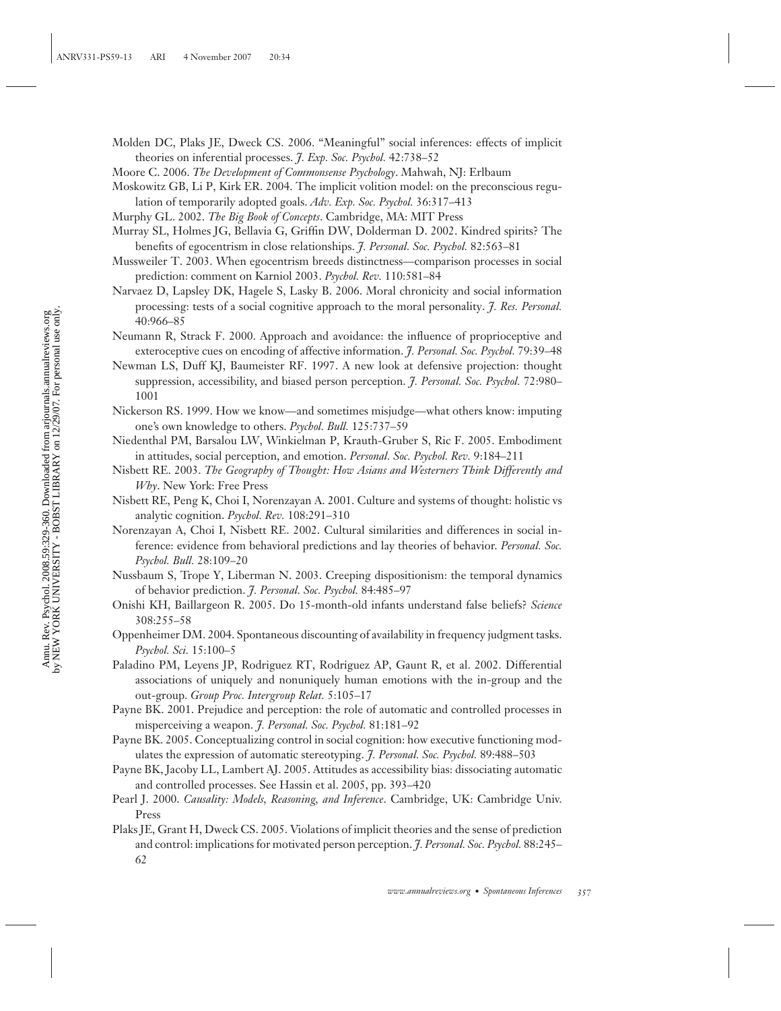Molden DC, Plaks JE, Dweck CS. 2006. "Meaningful" social inferences: effects of implicit theories on inferential processes. *J. Exp. Soc. Psychol.* 42:738–52

- Moskowitz GB, Li P, Kirk ER. 2004. The implicit volition model: on the preconscious regulation of temporarily adopted goals. *Adv. Exp. Soc. Psychol.* 36:317–413
- Murphy GL. 2002. *The Big Book of Concepts*. Cambridge, MA: MIT Press
- Murray SL, Holmes JG, Bellavia G, Griffin DW, Dolderman D. 2002. Kindred spirits? The benefits of egocentrism in close relationships. *J. Personal. Soc. Psychol.* 82:563–81
- Mussweiler T. 2003. When egocentrism breeds distinctness—comparison processes in social prediction: comment on Karniol 2003. *Psychol. Rev.* 110:581–84
- Narvaez D, Lapsley DK, Hagele S, Lasky B. 2006. Moral chronicity and social information processing: tests of a social cognitive approach to the moral personality. *J. Res. Personal.* 40:966–85
- Neumann R, Strack F. 2000. Approach and avoidance: the influence of proprioceptive and exteroceptive cues on encoding of affective information. *J. Personal. Soc. Psychol.* 79:39–48
- Newman LS, Duff KJ, Baumeister RF. 1997. A new look at defensive projection: thought suppression, accessibility, and biased person perception. *J. Personal. Soc. Psychol.* 72:980– 1001
- Nickerson RS. 1999. How we know—and sometimes misjudge—what others know: imputing one's own knowledge to others. *Psychol. Bull.* 125:737–59
- Niedenthal PM, Barsalou LW, Winkielman P, Krauth-Gruber S, Ric F. 2005. Embodiment in attitudes, social perception, and emotion. *Personal. Soc. Psychol. Rev.* 9:184–211
- Nisbett RE. 2003. *The Geography of Thought: How Asians and Westerners Think Differently and Why*. New York: Free Press
- Nisbett RE, Peng K, Choi I, Norenzayan A. 2001. Culture and systems of thought: holistic vs analytic cognition. *Psychol. Rev.* 108:291–310
- Norenzayan A, Choi I, Nisbett RE. 2002. Cultural similarities and differences in social inference: evidence from behavioral predictions and lay theories of behavior. *Personal. Soc. Psychol. Bull.* 28:109–20
- Nussbaum S, Trope Y, Liberman N. 2003. Creeping dispositionism: the temporal dynamics of behavior prediction. *J. Personal. Soc. Psychol.* 84:485–97
- Onishi KH, Baillargeon R. 2005. Do 15-month-old infants understand false beliefs? *Science* 308:255–58
- Oppenheimer DM. 2004. Spontaneous discounting of availability in frequency judgment tasks. *Psychol. Sci.* 15:100–5
- Paladino PM, Leyens JP, Rodriguez RT, Rodriguez AP, Gaunt R, et al. 2002. Differential associations of uniquely and nonuniquely human emotions with the in-group and the out-group. *Group Proc. Intergroup Relat.* 5:105–17
- Payne BK. 2001. Prejudice and perception: the role of automatic and controlled processes in misperceiving a weapon. *J. Personal. Soc. Psychol.* 81:181–92
- Payne BK. 2005. Conceptualizing control in social cognition: how executive functioning modulates the expression of automatic stereotyping. *J. Personal. Soc. Psychol.* 89:488–503
- Payne BK, Jacoby LL, Lambert AJ. 2005. Attitudes as accessibility bias: dissociating automatic and controlled processes. See Hassin et al. 2005, pp. 393–420
- Pearl J. 2000. *Causality: Models, Reasoning, and Inference*. Cambridge, UK: Cambridge Univ. Press
- Plaks JE, Grant H, Dweck CS. 2005. Violations of implicit theories and the sense of prediction and control: implications for motivated person perception. *J. Personal. Soc. Psychol.* 88:245– 62

Moore C. 2006. *The Development of Commonsense Psychology*. Mahwah, NJ: Erlbaum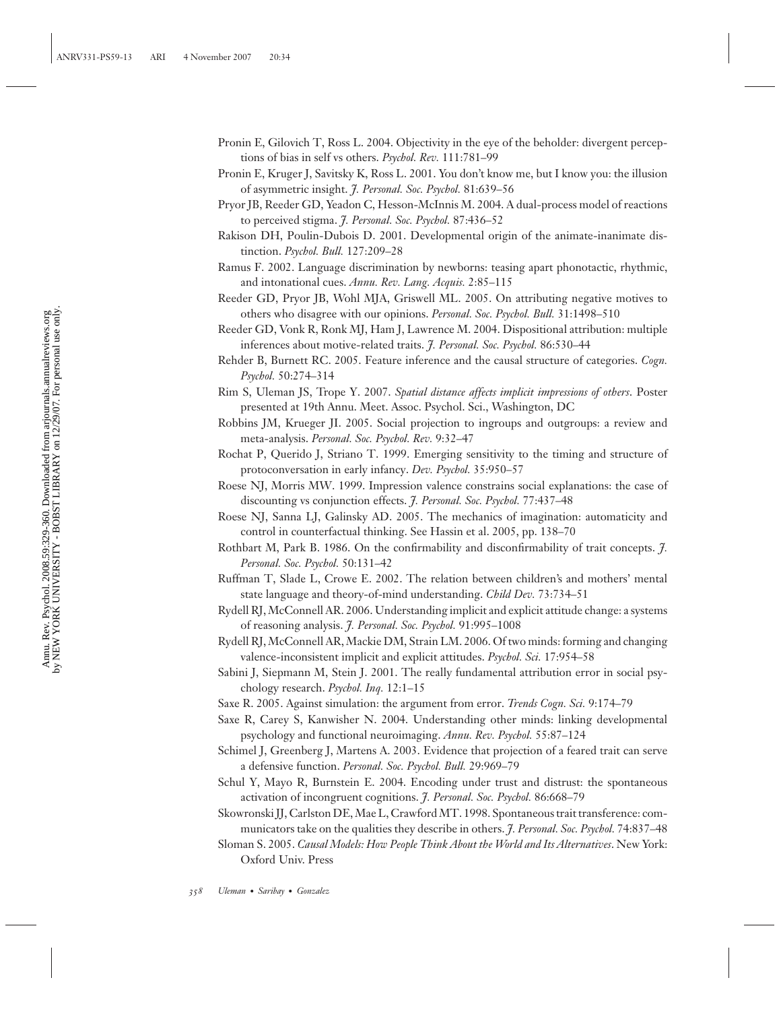- Pronin E, Gilovich T, Ross L. 2004. Objectivity in the eye of the beholder: divergent perceptions of bias in self vs others. *Psychol. Rev.* 111:781–99
- Pronin E, Kruger J, Savitsky K, Ross L. 2001. You don't know me, but I know you: the illusion of asymmetric insight. *J. Personal. Soc. Psychol.* 81:639–56
- Pryor JB, Reeder GD, Yeadon C, Hesson-McInnis M. 2004. A dual-process model of reactions to perceived stigma. *J. Personal. Soc. Psychol.* 87:436–52
- Rakison DH, Poulin-Dubois D. 2001. Developmental origin of the animate-inanimate distinction. *Psychol. Bull.* 127:209–28
- Ramus F. 2002. Language discrimination by newborns: teasing apart phonotactic, rhythmic, and intonational cues. *Annu. Rev. Lang. Acquis.* 2:85–115
- Reeder GD, Pryor JB, Wohl MJA, Griswell ML. 2005. On attributing negative motives to others who disagree with our opinions. *Personal. Soc. Psychol. Bull.* 31:1498–510
- Reeder GD, Vonk R, Ronk MJ, Ham J, Lawrence M. 2004. Dispositional attribution: multiple inferences about motive-related traits. *J. Personal. Soc. Psychol.* 86:530–44
- Rehder B, Burnett RC. 2005. Feature inference and the causal structure of categories. *Cogn. Psychol.* 50:274–314
- Rim S, Uleman JS, Trope Y. 2007. *Spatial distance affects implicit impressions of others*. Poster presented at 19th Annu. Meet. Assoc. Psychol. Sci., Washington, DC
- Robbins JM, Krueger JI. 2005. Social projection to ingroups and outgroups: a review and meta-analysis. *Personal. Soc. Psychol. Rev.* 9:32–47
- Rochat P, Querido J, Striano T. 1999. Emerging sensitivity to the timing and structure of protoconversation in early infancy. *Dev. Psychol.* 35:950–57
- Roese NJ, Morris MW. 1999. Impression valence constrains social explanations: the case of discounting vs conjunction effects. *J. Personal. Soc. Psychol.* 77:437–48
- Roese NJ, Sanna LJ, Galinsky AD. 2005. The mechanics of imagination: automaticity and control in counterfactual thinking. See Hassin et al. 2005, pp. 138–70
- Rothbart M, Park B. 1986. On the confirmability and disconfirmability of trait concepts. *J. Personal. Soc. Psychol.* 50:131–42
- Ruffman T, Slade L, Crowe E. 2002. The relation between children's and mothers' mental state language and theory-of-mind understanding. *Child Dev.* 73:734–51
- Rydell RJ, McConnell AR. 2006. Understanding implicit and explicit attitude change: a systems of reasoning analysis. *J. Personal. Soc. Psychol.* 91:995–1008
- Rydell RJ, McConnell AR, Mackie DM, Strain LM. 2006. Of two minds: forming and changing valence-inconsistent implicit and explicit attitudes. *Psychol. Sci.* 17:954–58
- Sabini J, Siepmann M, Stein J. 2001. The really fundamental attribution error in social psychology research. *Psychol. Inq.* 12:1–15
- Saxe R. 2005. Against simulation: the argument from error. *Trends Cogn. Sci.* 9:174–79
- Saxe R, Carey S, Kanwisher N. 2004. Understanding other minds: linking developmental psychology and functional neuroimaging. *Annu. Rev. Psychol.* 55:87–124
- Schimel J, Greenberg J, Martens A. 2003. Evidence that projection of a feared trait can serve a defensive function. *Personal. Soc. Psychol. Bull.* 29:969–79
- Schul Y, Mayo R, Burnstein E. 2004. Encoding under trust and distrust: the spontaneous activation of incongruent cognitions. *J. Personal. Soc. Psychol.* 86:668–79
- Skowronski JJ, Carlston DE, Mae L, Crawford MT. 1998. Spontaneous trait transference: communicators take on the qualities they describe in others. *J. Personal. Soc. Psychol.* 74:837–48
- Sloman S. 2005. *Causal Models: How People Think About the World and Its Alternatives*. New York: Oxford Univ. Press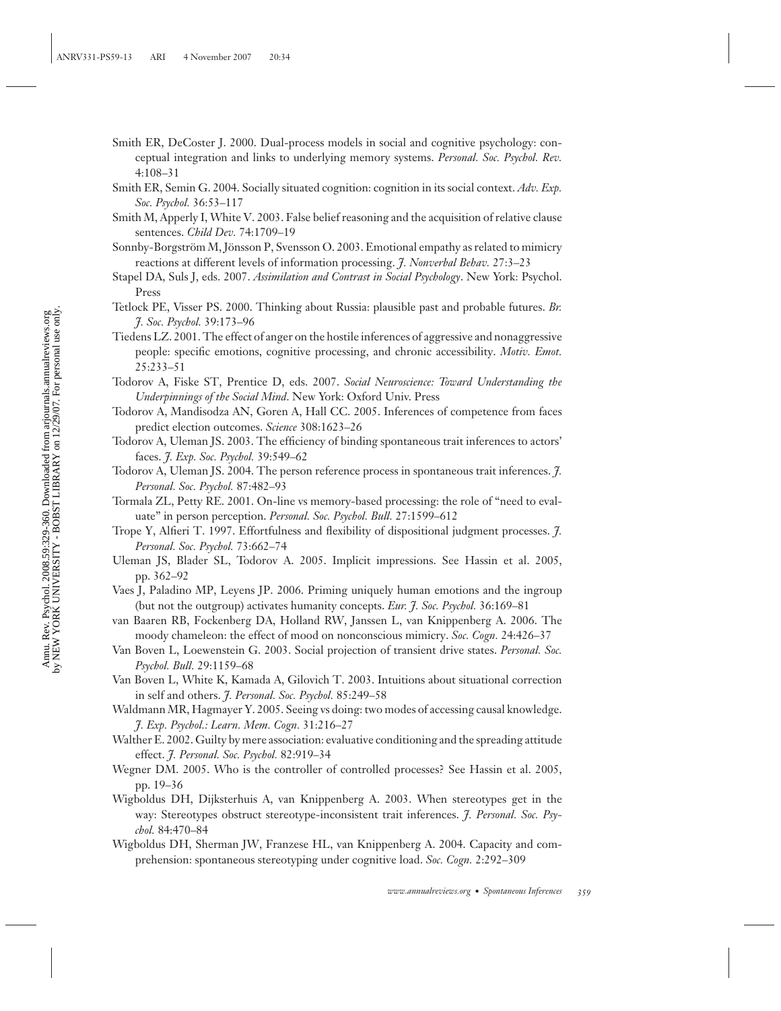- Smith ER, DeCoster J. 2000. Dual-process models in social and cognitive psychology: conceptual integration and links to underlying memory systems. *Personal. Soc. Psychol. Rev.* 4:108–31
- Smith ER, Semin G. 2004. Socially situated cognition: cognition in its social context. *Adv. Exp. Soc. Psychol.* 36:53–117
- Smith M, Apperly I, White V. 2003. False belief reasoning and the acquisition of relative clause sentences. *Child Dev.* 74:1709–19
- Sonnby-Borgström M, Jönsson P, Svensson O. 2003. Emotional empathy as related to mimicry reactions at different levels of information processing. *J. Nonverbal Behav.* 27:3–23
- Stapel DA, Suls J, eds. 2007. *Assimilation and Contrast in Social Psychology*. New York: Psychol. Press
- Tetlock PE, Visser PS. 2000. Thinking about Russia: plausible past and probable futures. *Br. J. Soc. Psychol.* 39:173–96
- Tiedens LZ. 2001. The effect of anger on the hostile inferences of aggressive and nonaggressive people: specific emotions, cognitive processing, and chronic accessibility. *Motiv. Emot.* 25:233–51
- Todorov A, Fiske ST, Prentice D, eds. 2007. *Social Neuroscience: Toward Understanding the Underpinnings of the Social Mind*. New York: Oxford Univ. Press
- Todorov A, Mandisodza AN, Goren A, Hall CC. 2005. Inferences of competence from faces predict election outcomes. *Science* 308:1623–26
- Todorov A, Uleman JS. 2003. The efficiency of binding spontaneous trait inferences to actors' faces. *J. Exp. Soc. Psychol.* 39:549–62
- Todorov A, Uleman JS. 2004. The person reference process in spontaneous trait inferences. *J. Personal. Soc. Psychol.* 87:482–93
- Tormala ZL, Petty RE. 2001. On-line vs memory-based processing: the role of "need to evaluate" in person perception. *Personal. Soc. Psychol. Bull.* 27:1599–612
- Trope Y, Alfieri T. 1997. Effortfulness and flexibility of dispositional judgment processes. *J. Personal. Soc. Psychol.* 73:662–74
- Uleman JS, Blader SL, Todorov A. 2005. Implicit impressions. See Hassin et al. 2005, pp. 362–92
- Vaes J, Paladino MP, Leyens JP. 2006. Priming uniquely human emotions and the ingroup (but not the outgroup) activates humanity concepts. *Eur. J. Soc. Psychol.* 36:169–81
- van Baaren RB, Fockenberg DA, Holland RW, Janssen L, van Knippenberg A. 2006. The moody chameleon: the effect of mood on nonconscious mimicry. *Soc. Cogn.* 24:426–37
- Van Boven L, Loewenstein G. 2003. Social projection of transient drive states. *Personal. Soc. Psychol. Bull.* 29:1159–68
- Van Boven L, White K, Kamada A, Gilovich T. 2003. Intuitions about situational correction in self and others. *J. Personal. Soc. Psychol.* 85:249–58
- Waldmann MR, Hagmayer Y. 2005. Seeing vs doing: two modes of accessing causal knowledge. *J. Exp. Psychol.: Learn. Mem. Cogn.* 31:216–27
- Walther E. 2002. Guilty by mere association: evaluative conditioning and the spreading attitude effect. *J. Personal. Soc. Psychol.* 82:919–34
- Wegner DM. 2005. Who is the controller of controlled processes? See Hassin et al. 2005, pp. 19–36
- Wigboldus DH, Dijksterhuis A, van Knippenberg A. 2003. When stereotypes get in the way: Stereotypes obstruct stereotype-inconsistent trait inferences. *J. Personal. Soc. Psychol.* 84:470–84
- Wigboldus DH, Sherman JW, Franzese HL, van Knippenberg A. 2004. Capacity and comprehension: spontaneous stereotyping under cognitive load. *Soc. Cogn.* 2:292–309